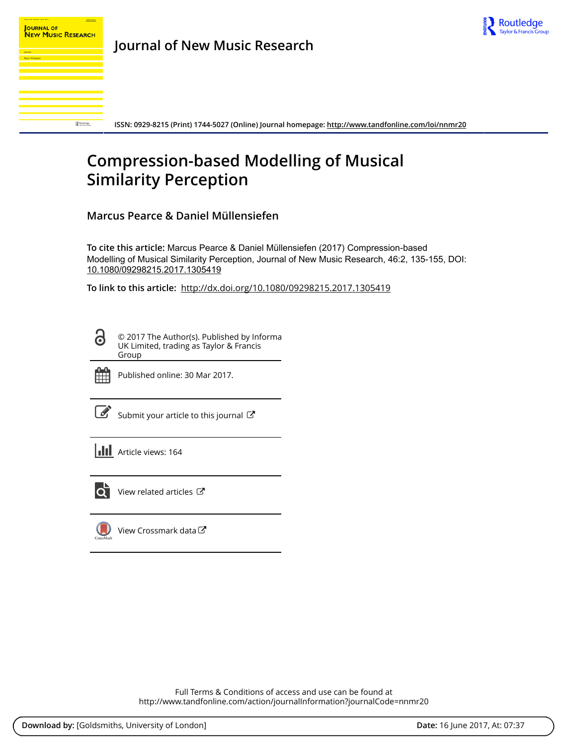

| Volume 48 Norther 2 Ions 2017<br><b>JOURNAL OF</b><br><b>NEW MUSIC RESEARCH</b> | <b>HAN DER ADD</b><br><b>COOKING AND HOTEL</b> | Jol  |
|---------------------------------------------------------------------------------|------------------------------------------------|------|
| <b>EDITOR</b>                                                                   |                                                |      |
| <b>ALAN MARSOBY</b>                                                             |                                                |      |
|                                                                                 |                                                |      |
|                                                                                 |                                                |      |
|                                                                                 |                                                |      |
|                                                                                 |                                                |      |
|                                                                                 |                                                |      |
|                                                                                 |                                                |      |
|                                                                                 |                                                | ISSI |

**Journal of New Music Research**

**ISSN: 0929-8215 (Print) 1744-5027 (Online) Journal homepage:<http://www.tandfonline.com/loi/nnmr20>**

# **Compression-based Modelling of Musical Similarity Perception**

**Marcus Pearce & Daniel Müllensiefen**

**To cite this article:** Marcus Pearce & Daniel Müllensiefen (2017) Compression-based Modelling of Musical Similarity Perception, Journal of New Music Research, 46:2, 135-155, DOI: [10.1080/09298215.2017.1305419](http://www.tandfonline.com/action/showCitFormats?doi=10.1080/09298215.2017.1305419)

**To link to this article:** <http://dx.doi.org/10.1080/09298215.2017.1305419>

© 2017 The Author(s). Published by Informa UK Limited, trading as Taylor & Francis Group



<u>යි</u>

Published online: 30 Mar 2017.

[Submit your article to this journal](http://www.tandfonline.com/action/authorSubmission?journalCode=nnmr20&show=instructions)  $\mathbb{Z}$ 

**III** Article views: 164



 $\overline{Q}$  [View related articles](http://www.tandfonline.com/doi/mlt/10.1080/09298215.2017.1305419)  $\overline{C}$ 

[View Crossmark data](http://crossmark.crossref.org/dialog/?doi=10.1080/09298215.2017.1305419&domain=pdf&date_stamp=2017-03-30)<sup>で</sup>

Full Terms & Conditions of access and use can be found at <http://www.tandfonline.com/action/journalInformation?journalCode=nnmr20>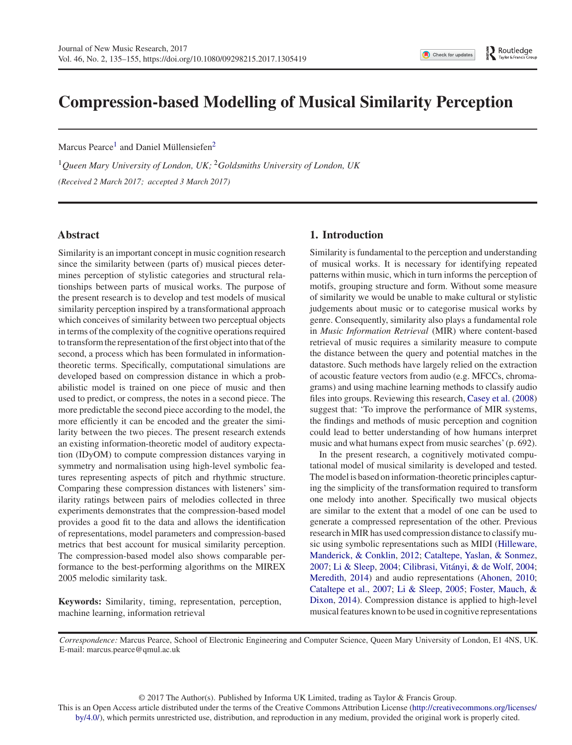## **Compression-based Modelling of Musical Similarity Perception**

<span id="page-1-2"></span>Marcus Pearce<sup>[1](#page-1-0)</sup> and Daniel Müllensiefen<sup>2</sup>

<span id="page-1-0"></span><sup>1</sup>*[Q](#page-1-2)ueen Mary University of London, UK;* <sup>2</sup>*[G](#page-1-3)oldsmiths University of London, UK (Received 2 March 2017; accepted 3 March 2017)*

## **Abstract**

Similarity is an important concept in music cognition research since the similarity between (parts of) musical pieces determines perception of stylistic categories and structural relationships between parts of musical works. The purpose of the present research is to develop and test models of musical similarity perception inspired by a transformational approach which conceives of similarity between two perceptual objects in terms of the complexity of the cognitive operations required to transform the representation of the first object into that of the second, a process which has been formulated in informationtheoretic terms. Specifically, computational simulations are developed based on compression distance in which a probabilistic model is trained on one piece of music and then used to predict, or compress, the notes in a second piece. The more predictable the second piece according to the model, the more efficiently it can be encoded and the greater the similarity between the two pieces. The present research extends an existing information-theoretic model of auditory expectation (IDyOM) to compute compression distances varying in symmetry and normalisation using high-level symbolic features representing aspects of pitch and rhythmic structure. Comparing these compression distances with listeners' similarity ratings between pairs of melodies collected in three experiments demonstrates that the compression-based model provides a good fit to the data and allows the identification of representations, model parameters and compression-based metrics that best account for musical similarity perception. The compression-based model also shows comparable performance to the best-performing algorithms on the MIREX 2005 melodic similarity task.

**Keywords:** Similarity, timing, representation, perception, machine learning, information retrieval

## <span id="page-1-3"></span><span id="page-1-1"></span>**1. Introduction**

Similarity is fundamental to the perception and understanding of musical works. It is necessary for identifying repeated patterns within music, which in turn informs the perception of motifs, grouping structure and form. Without some measure of similarity we would be unable to make cultural or stylistic judgements about music or to categorise musical works by genre. Consequently, similarity also plays a fundamental role in *Music Information Retrieval* (MIR) where content-based retrieval of music requires a similarity measure to compute the distance between the query and potential matches in the datastore. Such methods have largely relied on the extraction of acoustic feature vectors from audio (e.g. MFCCs, chromagrams) and using machine learning methods to classify audio files into groups. Reviewing this research, [Casey et al.](#page-18-0) [\(2008](#page-18-0)) suggest that: 'To improve the performance of MIR systems, the findings and methods of music perception and cognition could lead to better understanding of how humans interpret music and what humans expect from music searches' (p. 692).

Routledge

Check for updates

In the present research, a cognitively motivated computational model of musical similarity is developed and tested. The model is based on information-theoretic principles capturing the simplicity of the transformation required to transform one melody into another. Specifically two musical objects are similar to the extent that a model of one can be used to generate a compressed representation of the other. Previous research in MIR has used compression distance to classify music using symbolic rep[resentations such as MIDI \(](#page-19-0)Hilleware, Manderick, & Conklin, [2012;](#page-19-0) [Cataltepe, Yaslan, & Sonmez,](#page-18-1) [2007](#page-18-1); [Li & Sleep](#page-19-1), [2004](#page-19-1); [Cilibrasi, Vitányi, & de Wolf,](#page-18-2) [2004;](#page-18-2) [Meredith,](#page-20-0) [2014](#page-20-0)) and audio representations [\(Ahonen](#page-18-3), [2010;](#page-18-3) [Cataltepe et al.](#page-18-1), [2007](#page-18-1); [Li & Sleep](#page-19-2)[,](#page-19-3) [2005;](#page-19-2) Foster, Mauch, & Dixon, [2014](#page-19-3)). Compression distance is applied to high-level musical features known to be used in cognitive representations

*Correspondence:* Marcus Pearce, School of Electronic Engineering and Computer Science, Queen Mary University of London, E1 4NS, UK. E-mail: marcus.pearce@qmul.ac.uk

© 2017 The Author(s). Published by Informa UK Limited, trading as Taylor & Francis Group.

This is an Open Access article distributed under the terms of the Creative Commons Attribution License [\(http://creativecommons.org/licenses/](http://creativecommons.org/licenses/by/4.0/) [by/4.0/\)](http://creativecommons.org/licenses/by/4.0/), which permits unrestricted use, distribution, and reproduction in any medium, provided the original work is properly cited.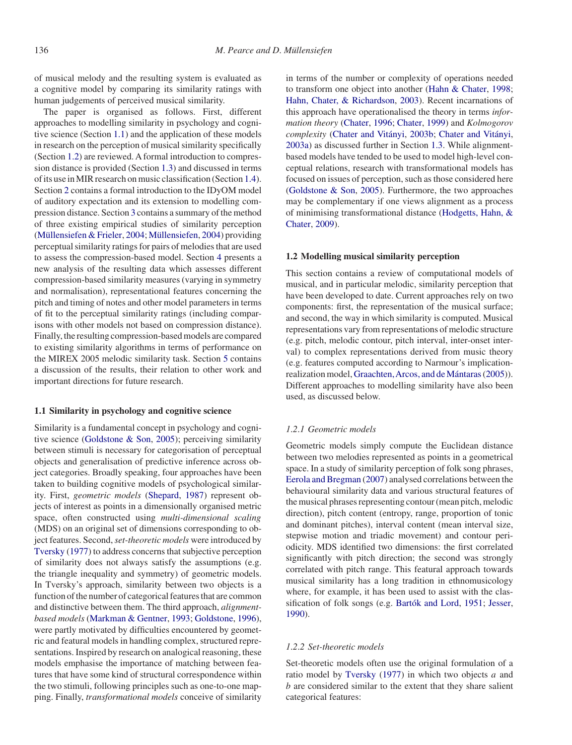of musical melody and the resulting system is evaluated as a cognitive model by comparing its similarity ratings with human judgements of perceived musical similarity.

The paper is organised as follows. First, different approaches to modelling similarity in psychology and cognitive science (Section [1.1\)](#page-2-0) and the application of these models in research on the perception of musical similarity specifically (Section [1.2\)](#page-2-1) are reviewed. A formal introduction to compression distance is provided (Section [1.3\)](#page-3-0) and discussed in terms of its use inMIR research on music classification (Section [1.4\)](#page-3-1). Section [2](#page-4-0) contains a formal introduction to the IDyOM model of auditory expectation and its extension to modelling compression distance. Section [3](#page-6-0) contains a summary of the method of three existing empirical studies of similarity perception [\(Müllensiefen & Frieler](#page-20-1), [2004](#page-20-1); [Müllensiefen](#page-20-2), [2004](#page-20-2)) providing perceptual similarity ratings for pairs of melodies that are used to assess the compression-based model. Section [4](#page-8-0) presents a new analysis of the resulting data which assesses different compression-based similarity measures (varying in symmetry and normalisation), representational features concerning the pitch and timing of notes and other model parameters in terms of fit to the perceptual similarity ratings (including comparisons with other models not based on compression distance). Finally, the resulting compression-based models are compared to existing similarity algorithms in terms of performance on the MIREX 2005 melodic similarity task. Section [5](#page-15-0) contains a discussion of the results, their relation to other work and important directions for future research.

#### <span id="page-2-0"></span>**1.1 Similarity in psychology and cognitive science**

Similarity is a fundamental concept in psychology and cognitive science [\(Goldstone & Son,](#page-19-4) [2005](#page-19-4)); perceiving similarity between stimuli is necessary for categorisation of perceptual objects and generalisation of predictive inference across object categories. Broadly speaking, four approaches have been taken to building cognitive models of psychological similarity. First, *geometric models* [\(Shepard,](#page-20-3) [1987](#page-20-3)) represent objects of interest as points in a dimensionally organised metric space, often constructed using *multi-dimensional scaling* (MDS) on an original set of dimensions corresponding to object features. Second,*set-theoretic models* were introduced by [Tversky](#page-21-0) [\(1977](#page-21-0)) to address concerns that subjective perception of similarity does not always satisfy the assumptions (e.g. the triangle inequality and symmetry) of geometric models. In Tversky's approach, similarity between two objects is a function of the number of categorical features that are common and distinctive between them. The third approach, *alignmentbased models* [\(Markman & Gentner](#page-19-5), [1993;](#page-19-5) [Goldstone](#page-19-6), [1996\)](#page-19-6), were partly motivated by difficulties encountered by geometric and featural models in handling complex, structured representations. Inspired by research on analogical reasoning, these models emphasise the importance of matching between features that have some kind of structural correspondence within the two stimuli, following principles such as one-to-one mapping. Finally, *transformational models* conceive of similarity in terms of the number or complexity of operations needed to transform one object into another [\(Hahn & Chater,](#page-19-7) [1998](#page-19-7); [Hahn, Chater, & Richardson,](#page-19-8) [2003](#page-19-8)). Recent incarnations of this approach have operationalised the theory in terms *information theory* [\(Chater,](#page-18-4) [1996;](#page-18-4) [Chater,](#page-18-5) [1999\)](#page-18-5) and *Kolmogorov complexity* [\(Chater and Vitányi](#page-18-6), [2003b;](#page-18-6) [Chater and Vitányi](#page-18-7), [2003a](#page-18-7)) as discussed further in Section [1.3.](#page-3-0) While alignmentbased models have tended to be used to model high-level conceptual relations, research with transformational models has focused on issues of perception, such as those considered here [\(Goldstone & Son,](#page-19-4) [2005](#page-19-4)). Furthermore, the two approaches may be complementary if one views alignment as a process of mi[nimising transformational distance \(](#page-19-9)Hodgetts, Hahn, & Chater, [2009](#page-19-9)).

## <span id="page-2-1"></span>**1.2 Modelling musical similarity perception**

This section contains a review of computational models of musical, and in particular melodic, similarity perception that have been developed to date. Current approaches rely on two components: first, the representation of the musical surface; and second, the way in which similarity is computed. Musical representations vary from representations of melodic structure (e.g. pitch, melodic contour, pitch interval, inter-onset interval) to complex representations derived from music theory (e.g. features computed according to Narmour's implicationrealization model, Graachten, Arcos, and de Mántaras (2005)). Different approaches to modelling similarity have also been used, as discussed below.

#### *1.2.1 Geometric models*

Geometric models simply compute the Euclidean distance between two melodies represented as points in a geometrical space. In a study of similarity perception of folk song phrases, [Eerola and Bregman](#page-19-11) [\(2007\)](#page-19-11) analysed correlations between the behavioural similarity data and various structural features of the musical phrases representing contour (mean pitch, melodic direction), pitch content (entropy, range, proportion of tonic and dominant pitches), interval content (mean interval size, stepwise motion and triadic movement) and contour periodicity. MDS identified two dimensions: the first correlated significantly with pitch direction; the second was strongly correlated with pitch range. This featural approach towards musical similarity has a long tradition in ethnomusicology where, for example, it has been used to assist with the classification of folk songs (e.g. [Bartók and Lord](#page-18-8), [1951;](#page-18-8) [Jesser](#page-19-12), [1990\)](#page-19-12).

#### *1.2.2 Set-theoretic models*

Set-theoretic models often use the original formulation of a ratio model by [Tversky](#page-21-0) [\(1977](#page-21-0)) in which two objects *a* and *b* are considered similar to the extent that they share salient categorical features: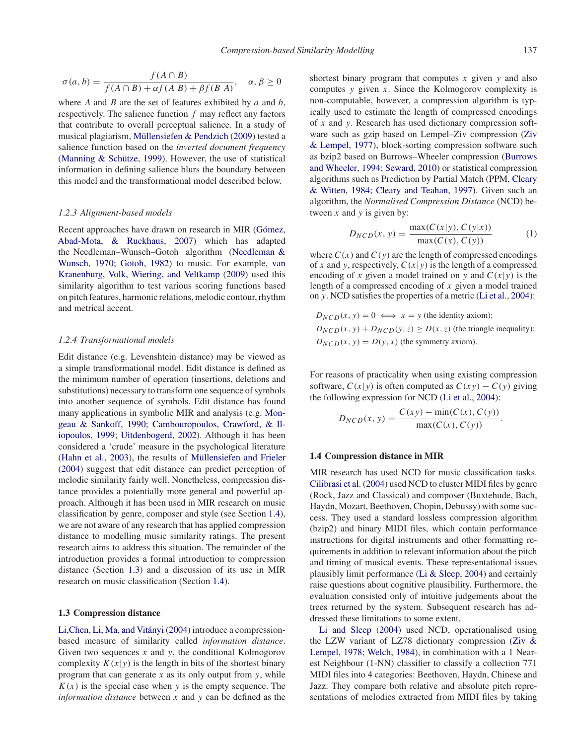$$
\sigma(a, b) = \frac{f(A \cap B)}{f(A \cap B) + \alpha f(A \cap B) + \beta f(B \cap A)}, \quad \alpha, \beta \ge 0
$$

where *A* and *B* are the set of features exhibited by *a* and *b*, respectively. The salience function *f* may reflect any factors that contribute to overall perceptual salience. In a study of musical plagiarism, [Müllensiefen & Pendzich](#page-20-4) [\(2009\)](#page-20-4) tested a salience function based on the *inverted document frequency* [\(Manning & Schütze](#page-19-13), [1999\)](#page-19-13). However, the use of statistical information in defining salience blurs the boundary between this model and the transformational model described below.

#### *1.2.3 Alignment-based models*

Recent approaches have dra[wn on research in MIR \(](#page-19-14)Gómez, Abad-Mota, & Ruckhaus, [2007\)](#page-19-14) which has adapted the Ne[edleman–Wunsch–Gotoh algorithm \(](#page-20-5)Needleman & Wunsch, [1970](#page-20-5); [Gotoh](#page-19-15), [1982](#page-19-15)) to music. [For example,](#page-21-1) van Kranenburg, Volk, Wiering, and Veltkamp [\(2009](#page-21-1)) used this similarity algorithm to test various scoring functions based on pitch features, harmonic relations, melodic contour, rhythm and metrical accent.

## *1.2.4 Transformational models*

Edit distance (e.g. Levenshtein distance) may be viewed as a simple transformational model. Edit distance is defined as the minimum number of operation (insertions, deletions and substitutions) necessary to transform one sequence of symbols into another sequence of symbols. Edit distance has found many applicatio[ns in symbolic MIR and analysis \(e.g.](#page-20-6) Mongeau & [Sankoff,](#page-18-9) [1990](#page-20-6); Cambouropoulos, Crawford, & Iliopoulos, [1999](#page-18-9); [Uitdenbogerd](#page-21-2), [2002](#page-21-2)). Although it has been considered a 'crude' measure in the psychological literature [\(Hahn et al.](#page-19-8), [2003](#page-19-8)), the results of [Müllensiefen and Frieler](#page-20-1) [\(2004](#page-20-1)) suggest that edit distance can predict perception of melodic similarity fairly well. Nonetheless, compression distance provides a potentially more general and powerful approach. Although it has been used in MIR research on music classification by genre, composer and style (see Section [1.4\)](#page-3-1), we are not aware of any research that has applied compression distance to modelling music similarity ratings. The present research aims to address this situation. The remainder of the introduction provides a formal introduction to compression distance (Section [1.3\)](#page-3-0) and a discussion of its use in MIR research on music classification (Section [1.4\)](#page-3-1).

#### <span id="page-3-0"></span>**1.3 Compression distance**

Li,Chen, Li, Ma, and Vitányi [\(2004\)](#page-19-16) introduce a compressionbased measure of similarity called *information distance*. Given two sequences *x* and *y*, the conditional Kolmogorov complexity  $K(x|y)$  is the length in bits of the shortest binary program that can generate *x* as its only output from *y*, while  $K(x)$  is the special case when *y* is the empty sequence. The *information distance* between *x* and *y* can be defined as the shortest binary program that computes *x* given *y* and also computes *y* given *x*. Since the Kolmogorov complexity is non-computable, however, a compression algorithm is typically used to estimate the length of compressed encodings of *x* and *y*. Research has used dictionary compression software such [as gzip based on Lempel–Ziv compression \(](#page-21-3)Ziv & Lempel, [1977](#page-21-3)), block-sorting compression software such as bzip2 bas[ed on Burrows–Wheeler compression \(](#page-18-10)Burrows and Wheeler, [1994](#page-18-10); [Seward,](#page-20-7) [2010](#page-20-7)) or statistical compression algorith[ms such as Prediction by Partial Match \(PPM,](#page-18-11) Cleary & Witten, [1984](#page-18-11); [Cleary and Teahan](#page-18-12), [1997\)](#page-18-12). Given such an algorithm, the *Normalised Compression Distance* (NCD) between *x* and *y* is given by:

<span id="page-3-2"></span>
$$
D_{NCD}(x, y) = \frac{\max(C(x|y), C(y|x))}{\max(C(x), C(y))}
$$
 (1)

where  $C(x)$  and  $C(y)$  are the length of compressed encodings of *x* and *y*, respectively,  $C(x|y)$  is the length of a compressed encoding of *x* given a model trained on *y* and  $C(x|y)$  is the length of a compressed encoding of *x* given a model trained on *y*. NCD satisfies the properties of a metric [\(Li et al.](#page-19-16), [2004](#page-19-16)):

 $D_{NCD}(x, y) = 0 \iff x = y$  (the identity axiom);  $D_{NCD}(x, y) + D_{NCD}(y, z) \ge D(x, z)$  (the triangle inequality);  $D_{NCD}(x, y) = D(y, x)$  (the symmetry axiom).

For reasons of practicality when using existing compression software,  $C(x|y)$  is often computed as  $C(xy) - C(y)$  giving the following expression for NCD [\(Li et al.,](#page-19-16) [2004\)](#page-19-16):

$$
D_{NCD}(x, y) = \frac{C(xy) - \min(C(x), C(y))}{\max(C(x), C(y))}.
$$

#### <span id="page-3-1"></span>**1.4 Compression distance in MIR**

MIR research has used NCD for music classification tasks. [Cilibrasi et al.](#page-18-2) [\(2004\)](#page-18-2) used NCD to cluster MIDI files by genre (Rock, Jazz and Classical) and composer (Buxtehude, Bach, Haydn, Mozart, Beethoven, Chopin, Debussy) with some success. They used a standard lossless compression algorithm (bzip2) and binary MIDI files, which contain performance instructions for digital instruments and other formatting requirements in addition to relevant information about the pitch and timing of musical events. These representational issues plausibly limit performance [\(Li & Sleep](#page-19-1), [2004\)](#page-19-1) and certainly raise questions about cognitive plausibility. Furthermore, the evaluation consisted only of intuitive judgements about the trees returned by the system. Subsequent research has ad[dressed](#page-19-1) [these](#page-19-1) [lim](#page-19-1)itations to some extent.

Li and Sleep [\(2004](#page-19-1)) used NCD, operationalised using the LZ[W variant of LZ78 dictionary compression \(](#page-21-4)Ziv & Lempel, [1978;](#page-21-4) [Welch,](#page-21-5) [1984\)](#page-21-5), in combination with a 1 Nearest Neighbour (1-NN) classifier to classify a collection 771 MIDI files into 4 categories: Beethoven, Haydn, Chinese and Jazz. They compare both relative and absolute pitch representations of melodies extracted from MIDI files by taking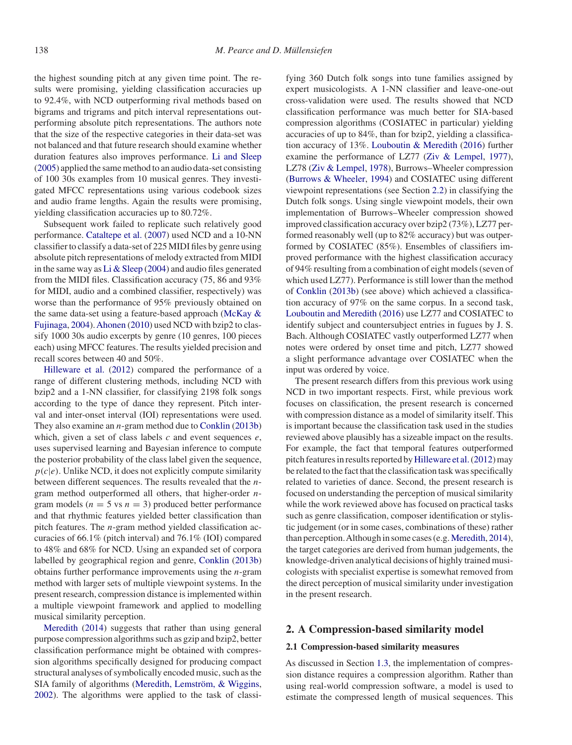the highest sounding pitch at any given time point. The results were promising, yielding classification accuracies up to 92.4%, with NCD outperforming rival methods based on bigrams and trigrams and pitch interval representations outperforming absolute pitch representations. The authors note that the size of the respective categories in their data-set was not balanced and that future research should examine whether duration features also improves performance. [Li and Sleep](#page-19-2) [\(2005\)](#page-19-2) applied the same method to an audio data-set consisting of 100 30s examples from 10 musical genres. They investigated MFCC representations using various codebook sizes and audio frame lengths. Again the results were promising, yielding classification accuracies up to 80.72%.

Subsequent work failed to replicate such relatively good performance. [Cataltepe et al.](#page-18-1) [\(2007](#page-18-1)) used NCD and a 10-NN classifier to classify a data-set of 225 MIDI files by genre using absolute pitch representations of melody extracted from MIDI in the same way as Li  $&$  Sleep [\(2004](#page-19-1)) and audio files generated from the MIDI files. Classification accuracy (75, 86 and 93% for MIDI, audio and a combined classifier, respectively) was worse than the performance of 95% previously obtained on the sam[e data-set using a feature-based approach \(](#page-20-8)McKay  $\&$ Fujinaga, [2004\)](#page-20-8).[Ahonen](#page-18-3) [\(2010](#page-18-3)) used NCD with bzip2 to classify 1000 30s audio excerpts by genre (10 genres, 100 pieces each) using MFCC features. The results yielded precision and [recall](#page-19-0) [scores](#page-19-0) [betwe](#page-19-0)en 40 and 50%.

Hilleware et al. [\(2012](#page-19-0)) compared the performance of a range of different clustering methods, including NCD with bzip2 and a 1-NN classifier, for classifying 2198 folk songs according to the type of dance they represent. Pitch interval and inter-onset interval (IOI) representations were used. They also examine an *n*-gram method due to [Conklin](#page-18-13) [\(2013b](#page-18-13)) which, given a set of class labels *c* and event sequences *e*, uses supervised learning and Bayesian inference to compute the posterior probability of the class label given the sequence,  $p(c|e)$ . Unlike NCD, it does not explicitly compute similarity between different sequences. The results revealed that the *n*gram method outperformed all others, that higher-order *n*gram models ( $n = 5$  vs  $n = 3$ ) produced better performance and that rhythmic features yielded better classification than pitch features. The *n*-gram method yielded classification accuracies of 66.1% (pitch interval) and 76.1% (IOI) compared to 48% and 68% for NCD. Using an expanded set of corpora labelled by geographical region and genre, [Conklin](#page-18-13) [\(2013b](#page-18-13)) obtains further performance improvements using the *n*-gram method with larger sets of multiple viewpoint systems. In the present research, compression distance is implemented within a multiple viewpoint framework and applied to modelling musical similarity perception.

Meredith [\(2014](#page-20-0)) suggests that rather than using general purpose compression algorithms such as gzip and bzip2, better classification performance might be obtained with compression algorithms specifically designed for producing compact structural analyses of symbolically encoded music, such as the SIA family of algorithms [\(Meredith, Lemström, & Wiggins](#page-20-9), [2002\)](#page-20-9). The algorithms were applied to the task of classifying 360 Dutch folk songs into tune families assigned by expert musicologists. A 1-NN classifier and leave-one-out cross-validation were used. The results showed that NCD classification performance was much better for SIA-based compression algorithms (COSIATEC in particular) yielding accuracies of up to 84%, than for bzip2, yielding a classification accuracy of 13%. [Louboutin & Meredith](#page-19-17) [\(2016\)](#page-19-17) further examine the performance of LZ77 [\(Ziv & Lempel,](#page-21-3) [1977](#page-21-3)), LZ78 [\(Ziv & Lempel,](#page-21-4) [1978](#page-21-4)), Burrows–Wheeler compression [\(Burrows & Wheeler](#page-18-10), [1994\)](#page-18-10) and COSIATEC using different viewpoint representations (see Section [2.2\)](#page-6-1) in classifying the Dutch folk songs. Using single viewpoint models, their own implementation of Burrows–Wheeler compression showed improved classification accuracy over bzip2 (73%), LZ77 performed reasonably well (up to 82% accuracy) but was outperformed by COSIATEC (85%). Ensembles of classifiers improved performance with the highest classification accuracy of 94% resulting from a combination of eight models (seven of which used LZ77). Performance is still lower than the method of [Conklin](#page-18-13) [\(2013b](#page-18-13)) (see above) which achieved a classification accuracy of 97% on the same corpus. In a second task, [Louboutin and Meredith](#page-19-17) [\(2016](#page-19-17)) use LZ77 and COSIATEC to identify subject and countersubject entries in fugues by J. S. Bach. Although COSIATEC vastly outperformed LZ77 when notes were ordered by onset time and pitch, LZ77 showed a slight performance advantage over COSIATEC when the input was ordered by voice.

The present research differs from this previous work using NCD in two important respects. First, while previous work focuses on classification, the present research is concerned with compression distance as a model of similarity itself. This is important because the classification task used in the studies reviewed above plausibly has a sizeable impact on the results. For example, the fact that temporal features outperformed pitch features in results reported by Hilleware et al. (2012) may be related to the fact that the classification task was specifically related to varieties of dance. Second, the present research is focused on understanding the perception of musical similarity while the work reviewed above has focused on practical tasks such as genre classification, composer identification or stylistic judgement (or in some cases, combinations of these) rather than perception.Although in some cases (e.g.[Meredith](#page-20-0), [2014](#page-20-0)), the target categories are derived from human judgements, the knowledge-driven analytical decisions of highly trained musicologists with specialist expertise is somewhat removed from the direct perception of musical similarity under investigation in the present research.

## <span id="page-4-0"></span>**2. A Compression-based similarity model**

#### **2.1 Compression-based similarity measures**

As discussed in Section [1.3,](#page-3-0) the implementation of compression distance requires a compression algorithm. Rather than using real-world compression software, a model is used to estimate the compressed length of musical sequences. This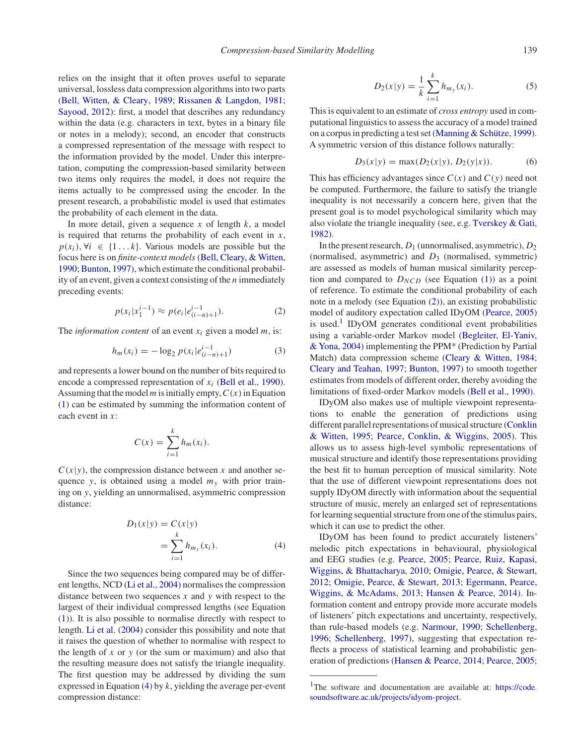relies on the insight that it often proves useful to separate universal, lossless data compression algorithms into two parts [\(Bell, Witten, & Cleary,](#page-18-14) [1989;](#page-18-14) [Rissanen & Langdon,](#page-20-10) [1981;](#page-20-10) [Sayood](#page-20-11), [2012](#page-20-11)): first, a model that describes any redundancy within the data (e.g. characters in text, bytes in a binary file or notes in a melody); second, an encoder that constructs a compressed representation of the message with respect to the information provided by the model. Under this interpretation, computing the compression-based similarity between two items only requires the model, it does not require the items actually to be compressed using the encoder. In the present research, a probabilistic model is used that estimates the probability of each element in the data.

In more detail, given a sequence *x* of length *k*, a model is required that returns the probability of each event in *x*,  $p(x_i)$ ,  $\forall i \in \{1 \dots k\}$ . Various models are possible but the focus here is on *finite-context models* [\(Bell, Cleary, & Witten,](#page-18-15) [1990](#page-18-15); [Bunton,](#page-18-16) [1997\)](#page-18-16), which estimate the conditional probability of an event, given a context consisting of the *n* immediately preceding events:

<span id="page-5-1"></span>
$$
p(x_i|x_1^{i-1}) \approx p(e_i|e_{(i-n)+1}^{i-1}).
$$
 (2)

The *information content* of an event  $x_i$  given a model  $m$ , is:

$$
h_m(x_i) = -\log_2 p(x_i|e_{(i-n)+1}^{i-1})
$$
\n(3)

and represents a lower bound on the number of bits required to encode a compressed representation of *xi* [\(Bell et al.](#page-18-15), [1990\)](#page-18-15). Assuming that the model *m* is initially empty,  $C(x)$  in Equation [\(1\)](#page-3-2) can be estimated by summing the information content of each event in *x*:

$$
C(x) = \sum_{i=1}^{k} h_m(x_i).
$$

 $C(x|y)$ , the compression distance between *x* and another sequence *y*, is obtained using a model  $m<sub>y</sub>$  with prior training on *y*, yielding an unnormalised, asymmetric compression distance:

<span id="page-5-0"></span>
$$
D_1(x|y) = C(x|y)
$$
  
=  $\sum_{i=1}^{k} h_{m_y}(x_i)$ . (4)

Since the two sequences being compared may be of different lengths, NCD [\(Li et al.](#page-19-16), [2004\)](#page-19-16) normalises the compression distance between two sequences *x* and *y* with respect to the largest of their individual compressed lengths (see Equation [\(1\)](#page-3-2)). It is also possible to normalise directly with respect to length. [Li et al.](#page-19-16) [\(2004](#page-19-16)) consider this possibility and note that it raises the question of whether to normalise with respect to the length of *x* or *y* (or the sum or maximum) and also that the resulting measure does not satisfy the triangle inequality. The first question may be addressed by dividing the sum expressed in Equation [\(4\)](#page-5-0) by *k*, yielding the average per-event compression distance:

<span id="page-5-3"></span>
$$
D_2(x|y) = \frac{1}{k} \sum_{i=1}^{k} h_{m_y}(x_i).
$$
 (5)

This is equivalent to an estimate of *cross entropy* used in computational linguistics to assess the accuracy of a model trained on a corpus in predicting a test set [\(Manning & Schütze,](#page-19-13) [1999\)](#page-19-13). A symmetric version of this distance follows naturally:

<span id="page-5-4"></span>
$$
D_3(x|y) = \max(D_2(x|y), D_2(y|x)).
$$
 (6)

This has efficiency advantages since  $C(x)$  and  $C(y)$  need not be computed. Furthermore, the failure to satisfy the triangle inequality is not necessarily a concern here, given that the present goal is to model psychological similarity which may also violate the triangle inequality (see, e.g. [Tverskey & Gati,](#page-20-12) [1982](#page-20-12)).

In the present research,  $D_1$  (unnormalised, asymmetric),  $D_2$ (normalised, asymmetric) and *D*<sup>3</sup> (normalised, symmetric) are assessed as models of human musical similarity perception and compared to  $D_{NCD}$  (see Equation [\(1\)](#page-3-2)) as a point of reference. To estimate the conditional probability of each note in a melody (see Equation [\(2\)](#page-5-1)), an existing probabilistic model of auditory expectation called IDyOM [\(Pearce,](#page-20-13) [2005](#page-20-13)) is used.<sup>1</sup> IDyOM generates conditional event probabilities using [a](#page-18-17) [variable-order](#page-18-17) [Markov](#page-18-17) [model](#page-18-17) [\(](#page-18-17)Begleiter, El-Yaniv, & Yona, [2004\)](#page-18-17) implementing the PPM\* (Prediction by Partial Match) data compression scheme [\(Cleary & Witten](#page-18-11), [1984;](#page-18-11) [Cleary and Teahan](#page-18-12), [1997;](#page-18-12) [Bunton,](#page-18-16) [1997\)](#page-18-16) to smooth together estimates from models of different order, thereby avoiding the limitations of fixed-order Markov models [\(Bell et al.,](#page-18-15) [1990\)](#page-18-15).

IDyOM also makes use of multiple viewpoint representations to enable the generation of predictions using different [parallel representations of musical structure \(](#page-19-18)Conklin & Witten, [1995;](#page-19-18) [Pearce, Conklin, & Wiggins,](#page-20-14) [2005\)](#page-20-14). This allows us to assess high-level symbolic representations of musical structure and identify those representations providing the best fit to human perception of musical similarity. Note that the use of different viewpoint representations does not supply IDyOM directly with information about the sequential structure of music, merely an enlarged set of representations for learning sequential structure from one of the stimulus pairs, which it can use to predict the other.

IDyOM has been found to predict accurately listeners' melodic pitch expectations in behavioural, physiological and EEG studies (e.g. [Pearce](#page-20-13), [2005;](#page-20-13) Pearce, Ruiz, Kapasi, Wiggins, & Bhattacharya, [2010;](#page-20-15) [Omigie, Pearce, & Stewart,](#page-20-16) [2012](#page-20-16); [Omigie, Pearce, & Stewart](#page-20-17)[,](#page-19-19) [2013;](#page-20-17) Egermann, Pearce, Wiggins, & McAdams, [2013](#page-19-19); [Hansen & Pearce,](#page-19-20) [2014](#page-19-20)). Information content and entropy provide more accurate models of listeners' pitch expectations and uncertainty, respectively, than rule-based models (e.g. [Narmour,](#page-20-18) [1990;](#page-20-18) [Schellenberg,](#page-20-19) [1996](#page-20-19); [Schellenberg,](#page-20-20) [1997](#page-20-20)), suggesting that expectation reflects a process of statistical learning and probabilistic generation of predictions [\(Hansen & Pearce,](#page-19-20) [2014](#page-19-20); [Pearce](#page-20-13), [2005;](#page-20-13)

<span id="page-5-2"></span><sup>&</sup>lt;sup>1</sup>The software and documentation are available at: [https://code.](https://code.soundsoftware.ac.uk/projects/idyom-project) [soundsoftware.ac.uk/projects/idyom-project.](https://code.soundsoftware.ac.uk/projects/idyom-project)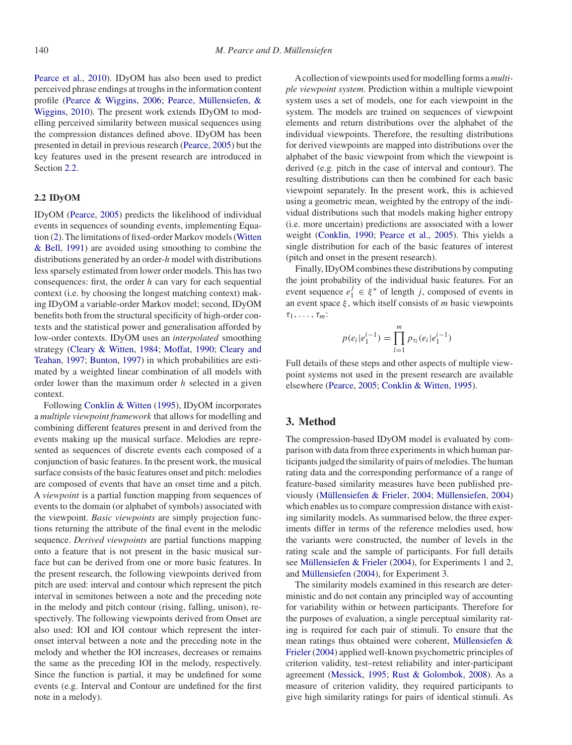[Pearce et al.](#page-20-15), [2010\)](#page-20-15). IDyOM has also been used to predict perceived phrase endings at troughs in the information content profile [\(Pearce & Wiggins,](#page-20-21) [2006](#page-20-21); Pearce, Müllensiefen, & Wiggins, [2010](#page-20-22)). The present work extends IDyOM to modelling perceived similarity between musical sequences using the compression distances defined above. IDyOM has been presented in detail in previous research [\(Pearce](#page-20-13), [2005](#page-20-13)) but the key features used in the present research are introduced in Section [2.2.](#page-6-1)

#### <span id="page-6-1"></span>**2.2 IDyOM**

IDyOM [\(Pearce](#page-20-13), [2005\)](#page-20-13) predicts the likelihood of individual events in sequences of sounding events, implementing Equation [\(2\)](#page-5-1)[. The limitations of fixed-order Markov models \(](#page-21-6)Witten & Bell, [1991](#page-21-6)) are avoided using smoothing to combine the distributions generated by an order-*h* model with distributions less sparsely estimated from lower order models. This has two consequences: first, the order *h* can vary for each sequential context (i.e. by choosing the longest matching context) making IDyOM a variable-order Markov model; second, IDyOM benefits both from the structural specificity of high-order contexts and the statistical power and generalisation afforded by low-order contexts. IDyOM uses an *interpolated* smoothing strateg[y](#page-18-12) [\(Cleary & Witten,](#page-18-11) [1984;](#page-18-11) [Moffat](#page-20-23), [1990](#page-20-23); Cleary and Teahan, [1997](#page-18-12); [Bunton](#page-18-16), [1997](#page-18-16)) in which probabilities are estimated by a weighted linear combination of all models with order lower than the maximum order *h* selected in a given context.

Following [Conklin & Witten](#page-19-18) [\(1995](#page-19-18)), IDyOM incorporates a *multiple viewpoint framework* that allows for modelling and combining different features present in and derived from the events making up the musical surface. Melodies are represented as sequences of discrete events each composed of a conjunction of basic features. In the present work, the musical surface consists of the basic features onset and pitch: melodies are composed of events that have an onset time and a pitch. A *viewpoint* is a partial function mapping from sequences of events to the domain (or alphabet of symbols) associated with the viewpoint. *Basic viewpoints* are simply projection functions returning the attribute of the final event in the melodic sequence. *Derived viewpoints* are partial functions mapping onto a feature that is not present in the basic musical surface but can be derived from one or more basic features. In the present research, the following viewpoints derived from pitch are used: interval and contour which represent the pitch interval in semitones between a note and the preceding note in the melody and pitch contour (rising, falling, unison), respectively. The following viewpoints derived from Onset are also used: IOI and IOI contour which represent the interonset interval between a note and the preceding note in the melody and whether the IOI increases, decreases or remains the same as the preceding IOI in the melody, respectively. Since the function is partial, it may be undefined for some events (e.g. Interval and Contour are undefined for the first note in a melody).

Acollection of viewpoints used for modelling forms a *multiple viewpoint system*. Prediction within a multiple viewpoint system uses a set of models, one for each viewpoint in the system. The models are trained on sequences of viewpoint elements and return distributions over the alphabet of the individual viewpoints. Therefore, the resulting distributions for derived viewpoints are mapped into distributions over the alphabet of the basic viewpoint from which the viewpoint is derived (e.g. pitch in the case of interval and contour). The resulting distributions can then be combined for each basic viewpoint separately. In the present work, this is achieved using a geometric mean, weighted by the entropy of the individual distributions such that models making higher entropy (i.e. more uncertain) predictions are associated with a lower weight [\(Conklin](#page-18-18), [1990;](#page-18-18) [Pearce et al.](#page-20-14), [2005\)](#page-20-14). This yields a single distribution for each of the basic features of interest (pitch and onset in the present research).

Finally, IDyOM combines these distributions by computing the joint probability of the individual basic features. For an event sequence  $e_1^j \in \xi^*$  of length *j*, composed of events in an event space ξ , which itself consists of *m* basic viewpoints  $\tau_1,\ldots,\tau_m$ :

$$
p(e_i|e_1^{i-1}) = \prod_{l=1}^m p_{\tau_l}(e_l|e_1^{i-1})
$$

Full details of these steps and other aspects of multiple viewpoint systems not used in the present research are available elsewhere [\(Pearce,](#page-20-13) [2005;](#page-20-13) [Conklin & Witten](#page-19-18), [1995](#page-19-18)).

## <span id="page-6-0"></span>**3. Method**

The compression-based IDyOM model is evaluated by comparison with data from three experiments in which human participants judged the similarity of pairs of melodies. The human rating data and the corresponding performance of a range of feature-based similarity measures have been published previously [\(Müllensiefen & Frieler,](#page-20-1) [2004](#page-20-1); [Müllensiefen,](#page-20-2) [2004\)](#page-20-2) which enables us to compare compression distance with existing similarity models. As summarised below, the three experiments differ in terms of the reference melodies used, how the variants were constructed, the number of levels in the rating scale and the sample of participants. For full details see [Müllensiefen & Frieler](#page-20-1) [\(2004](#page-20-1)), for Experiments 1 and 2, and [Müllensiefen](#page-20-2) [\(2004\)](#page-20-2), for Experiment 3.

The similarity models examined in this research are deterministic and do not contain any principled way of accounting for variability within or between participants. Therefore for the purposes of evaluation, a single perceptual similarity rating is required for each pair of stimuli. To ensure that the mean [ratings thus obtained were coherent,](#page-20-1) Müllensiefen & Frieler [\(2004](#page-20-1)) applied well-known psychometric principles of criterion validity, test–retest reliability and inter-participant agreement [\(Messick](#page-20-24), [1995;](#page-20-24) [Rust & Golombok](#page-20-25), [2008](#page-20-25)). As a measure of criterion validity, they required participants to give high similarity ratings for pairs of identical stimuli. As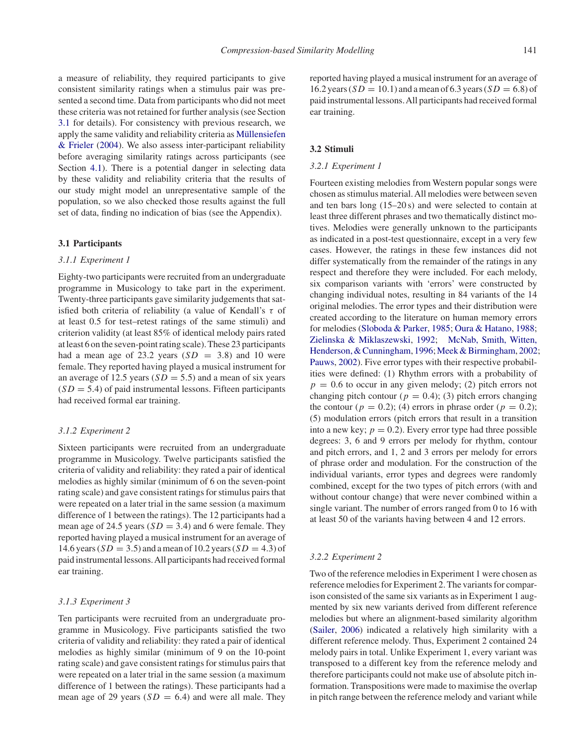a measure of reliability, they required participants to give consistent similarity ratings when a stimulus pair was presented a second time. Data from participants who did not meet these criteria was not retained for further analysis (see Section [3.1](#page-7-0) for details). For consistency with previous research, we apply the [same validity and reliability criteria as](#page-20-1) Müllensiefen & Frieler [\(2004](#page-20-1)). We also assess inter-participant reliability before averaging similarity ratings across participants (see Section [4.1\)](#page-8-1). There is a potential danger in selecting data by these validity and reliability criteria that the results of our study might model an unrepresentative sample of the population, so we also checked those results against the full set of data, finding no indication of bias (see the Appendix).

## <span id="page-7-0"></span>**3.1 Participants**

#### *3.1.1 Experiment 1*

Eighty-two participants were recruited from an undergraduate programme in Musicology to take part in the experiment. Twenty-three participants gave similarity judgements that satisfied both criteria of reliability (a value of Kendall's  $\tau$  of at least 0.5 for test–retest ratings of the same stimuli) and criterion validity (at least 85% of identical melody pairs rated at least 6 on the seven-point rating scale). These 23 participants had a mean age of 23.2 years  $(SD = 3.8)$  and 10 were female. They reported having played a musical instrument for an average of 12.5 years  $(SD = 5.5)$  and a mean of six years  $(SD = 5.4)$  of paid instrumental lessons. Fifteen participants had received formal ear training.

#### *3.1.2 Experiment 2*

Sixteen participants were recruited from an undergraduate programme in Musicology. Twelve participants satisfied the criteria of validity and reliability: they rated a pair of identical melodies as highly similar (minimum of 6 on the seven-point rating scale) and gave consistent ratings for stimulus pairs that were repeated on a later trial in the same session (a maximum difference of 1 between the ratings). The 12 participants had a mean age of 24.5 years  $(SD = 3.4)$  and 6 were female. They reported having played a musical instrument for an average of 14.6 years ( $SD = 3.5$ ) and a mean of 10.2 years ( $SD = 4.3$ ) of paid instrumental lessons.All participants had received formal ear training.

#### *3.1.3 Experiment 3*

Ten participants were recruited from an undergraduate programme in Musicology. Five participants satisfied the two criteria of validity and reliability: they rated a pair of identical melodies as highly similar (minimum of 9 on the 10-point rating scale) and gave consistent ratings for stimulus pairs that were repeated on a later trial in the same session (a maximum difference of 1 between the ratings). These participants had a mean age of 29 years  $(SD = 6.4)$  and were all male. They reported having played a musical instrument for an average of 16.2 years ( $SD = 10.1$ ) and a mean of 6.3 years ( $SD = 6.8$ ) of paid instrumental lessons.All participants had received formal ear training.

## **3.2 Stimuli**

#### *3.2.1 Experiment 1*

Fourteen existing melodies from Western popular songs were chosen as stimulus material. All melodies were between seven and ten bars long (15–20 s) and were selected to contain at least three different phrases and two thematically distinct motives. Melodies were generally unknown to the participants as indicated in a post-test questionnaire, except in a very few cases. However, the ratings in these few instances did not differ systematically from the remainder of the ratings in any respect and therefore they were included. For each melody, six comparison variants with 'errors' were constructed by changing individual notes, resulting in 84 variants of the 14 original melodies. The error types and their distribution were created according to the literature on human memory errors for melodies [\(Sloboda & Parker,](#page-20-26) [1985;](#page-20-26) [Oura & Hatano](#page-20-27), [1988;](#page-20-27) [Zielinska & Miklaszewski,](#page-21-7) [1992;](#page-21-7) McNab, Smith, Witten, Henderson, & Cunningham, [1996;](#page-20-28) [Meek & Birmingham](#page-20-29), [2002;](#page-20-29) [Pauws](#page-20-30), [2002\)](#page-20-30). Five error types with their respective probabilities were defined: (1) Rhythm errors with a probability of  $p = 0.6$  to occur in any given melody; (2) pitch errors not changing pitch contour ( $p = 0.4$ ); (3) pitch errors changing the contour ( $p = 0.2$ ); (4) errors in phrase order ( $p = 0.2$ ); (5) modulation errors (pitch errors that result in a transition into a new key;  $p = 0.2$ ). Every error type had three possible degrees: 3, 6 and 9 errors per melody for rhythm, contour and pitch errors, and 1, 2 and 3 errors per melody for errors of phrase order and modulation. For the construction of the individual variants, error types and degrees were randomly combined, except for the two types of pitch errors (with and without contour change) that were never combined within a single variant. The number of errors ranged from 0 to 16 with at least 50 of the variants having between 4 and 12 errors.

#### *3.2.2 Experiment 2*

Two of the reference melodies in Experiment 1 were chosen as reference melodies for Experiment 2. The variants for comparison consisted of the same six variants as in Experiment 1 augmented by six new variants derived from different reference melodies but where an alignment-based similarity algorithm [\(Sailer,](#page-20-31) [2006](#page-20-31)) indicated a relatively high similarity with a different reference melody. Thus, Experiment 2 contained 24 melody pairs in total. Unlike Experiment 1, every variant was transposed to a different key from the reference melody and therefore participants could not make use of absolute pitch information. Transpositions were made to maximise the overlap in pitch range between the reference melody and variant while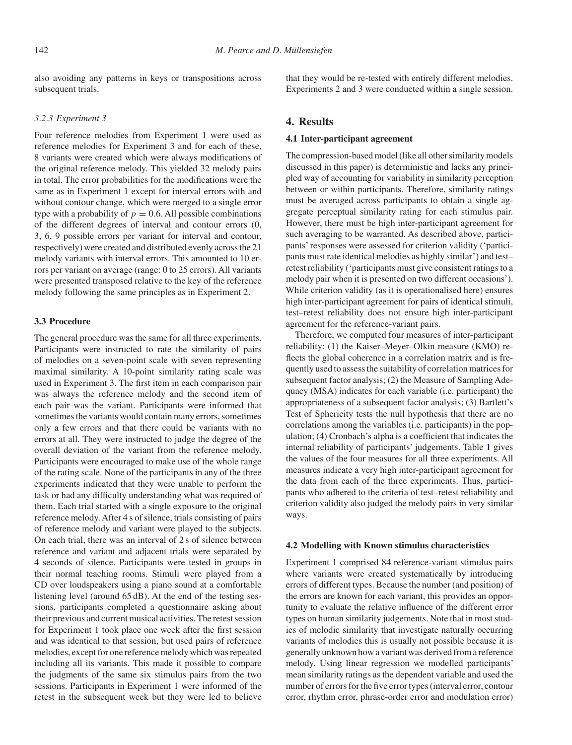also avoiding any patterns in keys or transpositions across subsequent trials.

#### *3.2.3 Experiment 3*

Four reference melodies from Experiment 1 were used as reference melodies for Experiment 3 and for each of these, 8 variants were created which were always modifications of the original reference melody. This yielded 32 melody pairs in total. The error probabilities for the modifications were the same as in Experiment 1 except for interval errors with and without contour change, which were merged to a single error type with a probability of  $p = 0.6$ . All possible combinations of the different degrees of interval and contour errors (0, 3, 6, 9 possible errors per variant for interval and contour, respectively) were created and distributed evenly across the 21 melody variants with interval errors. This amounted to 10 errors per variant on average (range: 0 to 25 errors). All variants were presented transposed relative to the key of the reference melody following the same principles as in Experiment 2.

## **3.3 Procedure**

The general procedure was the same for all three experiments. Participants were instructed to rate the similarity of pairs of melodies on a seven-point scale with seven representing maximal similarity. A 10-point similarity rating scale was used in Experiment 3. The first item in each comparison pair was always the reference melody and the second item of each pair was the variant. Participants were informed that sometimes the variants would contain many errors, sometimes only a few errors and that there could be variants with no errors at all. They were instructed to judge the degree of the overall deviation of the variant from the reference melody. Participants were encouraged to make use of the whole range of the rating scale. None of the participants in any of the three experiments indicated that they were unable to perform the task or had any difficulty understanding what was required of them. Each trial started with a single exposure to the original reference melody. After 4 s of silence, trials consisting of pairs of reference melody and variant were played to the subjects. On each trial, there was an interval of 2 s of silence between reference and variant and adjacent trials were separated by 4 seconds of silence. Participants were tested in groups in their normal teaching rooms. Stimuli were played from a CD over loudspeakers using a piano sound at a comfortable listening level (around 65 dB). At the end of the testing sessions, participants completed a questionnaire asking about their previous and current musical activities. The retest session for Experiment 1 took place one week after the first session and was identical to that session, but used pairs of reference melodies, except for one reference melody which was repeated including all its variants. This made it possible to compare the judgments of the same six stimulus pairs from the two sessions. Participants in Experiment 1 were informed of the retest in the subsequent week but they were led to believe

that they would be re-tested with entirely different melodies. Experiments 2 and 3 were conducted within a single session.

## <span id="page-8-1"></span><span id="page-8-0"></span>**4. Results**

## **4.1 Inter-participant agreement**

The compression-based model (like all other similarity models discussed in this paper) is deterministic and lacks any principled way of accounting for variability in similarity perception between or within participants. Therefore, similarity ratings must be averaged across participants to obtain a single aggregate perceptual similarity rating for each stimulus pair. However, there must be high inter-participant agreement for such averaging to be warranted. As described above, participants' responses were assessed for criterion validity ('participants must rate identical melodies as highly similar') and test– retest reliability ('participants must give consistent ratings to a melody pair when it is presented on two different occasions'). While criterion validity (as it is operationalised here) ensures high inter-participant agreement for pairs of identical stimuli, test–retest reliability does not ensure high inter-participant agreement for the reference-variant pairs.

Therefore, we computed four measures of inter-participant reliability: (1) the Kaiser–Meyer–Olkin measure (KMO) reflects the global coherence in a correlation matrix and is frequently used to assess the suitability of correlation matrices for subsequent factor analysis; (2) the Measure of Sampling Adequacy (MSA) indicates for each variable (i.e. participant) the appropriateness of a subsequent factor analysis; (3) Bartlett's Test of Sphericity tests the null hypothesis that there are no correlations among the variables (i.e. participants) in the population; (4) Cronbach's alpha is a coefficient that indicates the internal reliability of participants' judgements. Table [1](#page-9-0) gives the values of the four measures for all three experiments. All measures indicate a very high inter-participant agreement for the data from each of the three experiments. Thus, participants who adhered to the criteria of test–retest reliability and criterion validity also judged the melody pairs in very similar ways.

#### <span id="page-8-2"></span>**4.2 Modelling with Known stimulus characteristics**

Experiment 1 comprised 84 reference-variant stimulus pairs where variants were created systematically by introducing errors of different types. Because the number (and position) of the errors are known for each variant, this provides an opportunity to evaluate the relative influence of the different error types on human similarity judgements. Note that in most studies of melodic similarity that investigate naturally occurring variants of melodies this is usually not possible because it is generally unknown how a variant was derived from a reference melody. Using linear regression we modelled participants' mean similarity ratings as the dependent variable and used the number of errors for the five error types (interval error, contour error, rhythm error, phrase-order error and modulation error)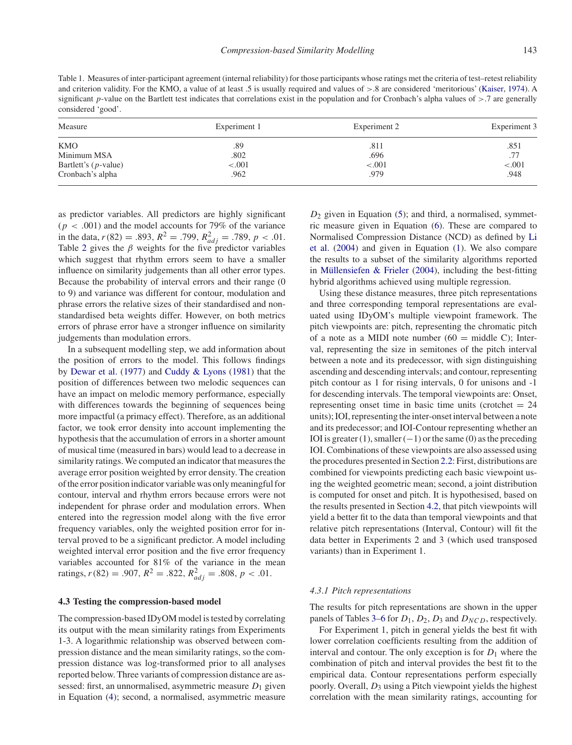<span id="page-9-0"></span>Table 1. Measures of inter-participant agreement (internal reliability) for those participants whose ratings met the criteria of test–retest reliability and criterion validity. For the KMO, a value of at least .5 is usually required and values of >.8 are considered 'meritorious' [\(Kaiser,](#page-19-21) [1974](#page-19-21)). A significant *p*-value on the Bartlett test indicates that correlations exist in the population and for Cronbach's alpha values of >.7 are generally considered 'good'.

| Measure                 | Experiment 1 | Experiment 2 | Experiment 3 |
|-------------------------|--------------|--------------|--------------|
| KMO                     | .89          | .811         | .851         |
| Minimum MSA             | .802         | .696         | .77          |
| Bartlett's $(p$ -value) | $-.001$      | ${-.001}$    | $-.001$      |
| Cronbach's alpha        | .962         | .979         | .948         |

as predictor variables. All predictors are highly significant  $(p < .001)$  and the model accounts for 79% of the variance in the data,  $r(82) = .893$ ,  $R^2 = .799$ ,  $R^2_{adj} = .789$ ,  $p < .01$ . Table [2](#page-10-0) gives the  $\beta$  weights for the five predictor variables which suggest that rhythm errors seem to have a smaller influence on similarity judgements than all other error types. Because the probability of interval errors and their range (0 to 9) and variance was different for contour, modulation and phrase errors the relative sizes of their standardised and nonstandardised beta weights differ. However, on both metrics errors of phrase error have a stronger influence on similarity judgements than modulation errors.

In a subsequent modelling step, we add information about the position of errors to the model. This follows findings by [Dewar et al.](#page-19-22) [\(1977\)](#page-19-22) and [Cuddy & Lyons](#page-19-23) [\(1981](#page-19-23)) that the position of differences between two melodic sequences can have an impact on melodic memory performance, especially with differences towards the beginning of sequences being more impactful (a primacy effect). Therefore, as an additional factor, we took error density into account implementing the hypothesis that the accumulation of errors in a shorter amount of musical time (measured in bars) would lead to a decrease in similarity ratings.We computed an indicator that measures the average error position weighted by error density. The creation of the error position indicator variable was only meaningful for contour, interval and rhythm errors because errors were not independent for phrase order and modulation errors. When entered into the regression model along with the five error frequency variables, only the weighted position error for interval proved to be a significant predictor. A model including weighted interval error position and the five error frequency variables accounted for 81% of the variance in the mean ratings,  $r(82) = .907$ ,  $R^2 = .822$ ,  $R^2_{adj} = .808$ ,  $p < .01$ .

#### **4.3 Testing the compression-based model**

The compression-based IDyOM model is tested by correlating its output with the mean similarity ratings from Experiments 1-3. A logarithmic relationship was observed between compression distance and the mean similarity ratings, so the compression distance was log-transformed prior to all analyses reported below. Three variants of compression distance are assessed: first, an unnormalised, asymmetric measure *D*<sup>1</sup> given in Equation [\(4\)](#page-5-0); second, a normalised, asymmetric measure

 $D_2$  given in Equation [\(5\)](#page-5-3); and third, a normalised, symmetric measure given in Equation [\(6\)](#page-5-4). These are compared to Nor[malised Compression Distance \(NCD\) as defined by](#page-19-16) Li et al. [\(2004\)](#page-19-16) and given in Equation [\(1\)](#page-3-2). We also compare the results to a subset of the similarity algorithms reported in [Müllensiefen & Frieler](#page-20-1) [\(2004\)](#page-20-1), including the best-fitting hybrid algorithms achieved using multiple regression.

Using these distance measures, three pitch representations and three corresponding temporal representations are evaluated using IDyOM's multiple viewpoint framework. The pitch viewpoints are: pitch, representing the chromatic pitch of a note as a MIDI note number  $(60 = middle C)$ ; Interval, representing the size in semitones of the pitch interval between a note and its predecessor, with sign distinguishing ascending and descending intervals; and contour, representing pitch contour as 1 for rising intervals, 0 for unisons and -1 for descending intervals. The temporal viewpoints are: Onset, representing onset time in basic time units (crotchet  $= 24$ units); IOI, representing the inter-onset interval between a note and its predecessor; and IOI-Contour representing whether an IOI is greater (1), smaller  $(-1)$  or the same (0) as the preceding IOI. Combinations of these viewpoints are also assessed using the procedures presented in Section [2.2:](#page-6-1) First, distributions are combined for viewpoints predicting each basic viewpoint using the weighted geometric mean; second, a joint distribution is computed for onset and pitch. It is hypothesised, based on the results presented in Section [4.2,](#page-8-2) that pitch viewpoints will yield a better fit to the data than temporal viewpoints and that relative pitch representations (Interval, Contour) will fit the data better in Experiments 2 and 3 (which used transposed variants) than in Experiment 1.

## *4.3.1 Pitch representations*

The results for pitch representations are shown in the upper panels of Tables [3–](#page-10-1)[6](#page-12-0) for  $D_1$ ,  $D_2$ ,  $D_3$  and  $D_{NCD}$ , respectively.

For Experiment 1, pitch in general yields the best fit with lower correlation coefficients resulting from the addition of interval and contour. The only exception is for  $D_1$  where the combination of pitch and interval provides the best fit to the empirical data. Contour representations perform especially poorly. Overall, *D*<sup>3</sup> using a Pitch viewpoint yields the highest correlation with the mean similarity ratings, accounting for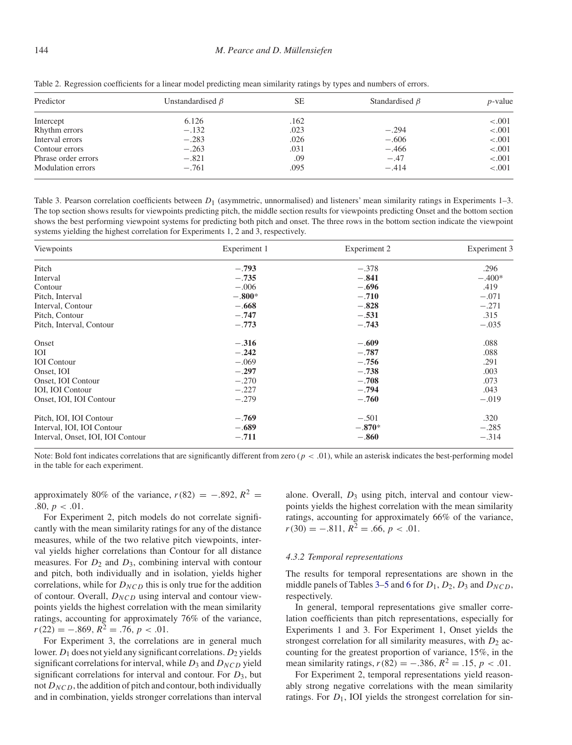<span id="page-10-0"></span>

| Predictor                | Unstandardised $\beta$ | SE   | Standardised $\beta$ | $p$ -value |
|--------------------------|------------------------|------|----------------------|------------|
| Intercept                | 6.126                  | .162 |                      | < .001     |
| Rhythm errors            | $-.132$                | .023 | $-.294$              | $-.001$    |
| Interval errors          | $-.283$                | .026 | $-.606$              | $-.001$    |
| Contour errors           | $-.263$                | .031 | $-.466$              | $-.001$    |
| Phrase order errors      | $-.821$                | .09  | $-.47$               | $-.001$    |
| <b>Modulation errors</b> | $-.761$                | .095 | $-.414$              | $-.001$    |

Table 2. Regression coefficients for a linear model predicting mean similarity ratings by types and numbers of errors.

<span id="page-10-1"></span>Table 3. Pearson correlation coefficients between  $D_1$  (asymmetric, unnormalised) and listeners' mean similarity ratings in Experiments 1–3. The top section shows results for viewpoints predicting pitch, the middle section results for viewpoints predicting Onset and the bottom section shows the best performing viewpoint systems for predicting both pitch and onset. The three rows in the bottom section indicate the viewpoint systems yielding the highest correlation for Experiments 1, 2 and 3, respectively.

| Viewpoints                        | Experiment 1 | Experiment 2 | Experiment 3 |
|-----------------------------------|--------------|--------------|--------------|
| Pitch                             | $-.793$      | $-.378$      | .296         |
| Interval                          | $-.735$      | $-.841$      | $-.400*$     |
| Contour                           | $-.006$      | $-.696$      | .419         |
| Pitch, Interval                   | $-.800*$     | $-.710$      | $-.071$      |
| Interval, Contour                 | $-.668$      | $-.828$      | $-.271$      |
| Pitch, Contour                    | $-.747$      | $-.531$      | .315         |
| Pitch, Interval, Contour          | $-.773$      | $-.743$      | $-.035$      |
| Onset                             | $-.316$      | $-.609$      | .088         |
| <b>IOI</b>                        | $-.242$      | $-.787$      | .088         |
| <b>IOI</b> Contour                | $-.069$      | $-.756$      | .291         |
| Onset, IOI                        | $-.297$      | $-.738$      | .003         |
| Onset, IOI Contour                | $-.270$      | $-.708$      | .073         |
| IOI, IOI Contour                  | $-.227$      | $-.794$      | .043         |
| Onset, IOI, IOI Contour           | $-.279$      | $-.760$      | $-.019$      |
| Pitch, IOI, IOI Contour           | $-.769$      | $-.501$      | .320         |
| Interval, IOI, IOI Contour        | $-.689$      | $-.870*$     | $-.285$      |
| Interval, Onset, IOI, IOI Contour | $-.711$      | $-.860$      | $-.314$      |

Note: Bold font indicates correlations that are significantly different from zero ( $p < .01$ ), while an asterisk indicates the best-performing model in the table for each experiment.

approximately 80% of the variance,  $r(82) = -.892$ ,  $R^2 =$ .80,  $p < .01$ .

For Experiment 2, pitch models do not correlate significantly with the mean similarity ratings for any of the distance measures, while of the two relative pitch viewpoints, interval yields higher correlations than Contour for all distance measures. For  $D_2$  and  $D_3$ , combining interval with contour and pitch, both individually and in isolation, yields higher correlations, while for  $D_{NCD}$  this is only true for the addition of contour. Overall,  $D_{NCD}$  using interval and contour viewpoints yields the highest correlation with the mean similarity ratings, accounting for approximately 76% of the variance,  $r(22) = -.869, R^2 = .76, p < .01.$ 

For Experiment 3, the correlations are in general much lower.  $D_1$  does not yield any significant correlations.  $D_2$  yields significant correlations for interval, while  $D_3$  and  $D_{NCD}$  yield significant correlations for interval and contour. For *D*3, but not *DNCD*, the addition of pitch and contour, both individually and in combination, yields stronger correlations than interval alone. Overall,  $D_3$  using pitch, interval and contour viewpoints yields the highest correlation with the mean similarity ratings, accounting for approximately 66% of the variance,  $r(30) = -.811, R^2 = .66, p < .01.$ 

#### *4.3.2 Temporal representations*

The results for temporal representations are shown in the middle panels of Tables [3–](#page-10-1)[5](#page-11-0) and [6](#page-12-0) for  $D_1$ ,  $D_2$ ,  $D_3$  and  $D_{NCD}$ , respectively.

In general, temporal representations give smaller correlation coefficients than pitch representations, especially for Experiments 1 and 3. For Experiment 1, Onset yields the strongest correlation for all similarity measures, with  $D_2$  accounting for the greatest proportion of variance, 15%, in the mean similarity ratings,  $r(82) = -.386$ ,  $R^2 = .15$ ,  $p < .01$ .

For Experiment 2, temporal representations yield reasonably strong negative correlations with the mean similarity ratings. For  $D_1$ , IOI yields the strongest correlation for sin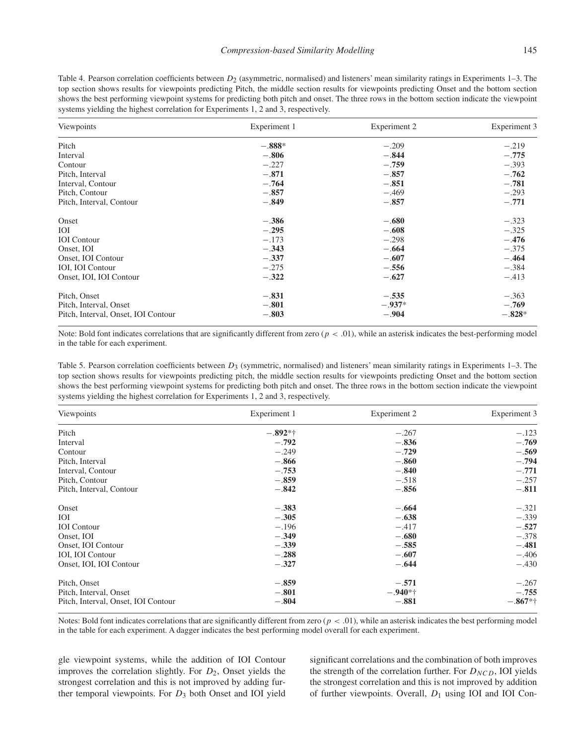Table 4. Pearson correlation coefficients between *D*<sub>2</sub> (asymmetric, normalised) and listeners' mean similarity ratings in Experiments 1–3. The top section shows results for viewpoints predicting Pitch, the middle section results for viewpoints predicting Onset and the bottom section shows the best performing viewpoint systems for predicting both pitch and onset. The three rows in the bottom section indicate the viewpoint systems yielding the highest correlation for Experiments 1, 2 and 3, respectively.

| Viewpoints                          | Experiment 1 | Experiment 2 | Experiment 3 |
|-------------------------------------|--------------|--------------|--------------|
| Pitch                               | $-.888*$     | $-.209$      | $-.219$      |
| Interval                            | $-.806$      | $-.844$      | $-.775$      |
| Contour                             | $-.227$      | $-.759$      | $-.393$      |
| Pitch, Interval                     | $-.871$      | $-.857$      | $-.762$      |
| Interval, Contour                   | $-.764$      | $-.851$      | $-.781$      |
| Pitch, Contour                      | $-.857$      | $-.469$      | $-.293$      |
| Pitch, Interval, Contour            | $-.849$      | $-.857$      | $-.771$      |
| Onset                               | $-.386$      | $-.680$      | $-.323$      |
| IOI                                 | $-.295$      | $-.608$      | $-.325$      |
| <b>IOI</b> Contour                  | $-.173$      | $-.298$      | $-.476$      |
| Onset, IOI                          | $-.343$      | $-.664$      | $-.375$      |
| Onset, IOI Contour                  | $-.337$      | $-.607$      | $-.464$      |
| <b>IOI, IOI Contour</b>             | $-.275$      | $-.556$      | $-.384$      |
| Onset, IOI, IOI Contour             | $-.322$      | $-.627$      | $-.413$      |
| Pitch, Onset                        | $-.831$      | $-.535$      | $-.363$      |
| Pitch, Interval, Onset              | $-.801$      | $-.937*$     | $-.769$      |
| Pitch, Interval, Onset, IOI Contour | $-.803$      | $-.904$      | $-.828*$     |

Note: Bold font indicates correlations that are significantly different from zero ( $p < .01$ ), while an asterisk indicates the best-performing model in the table for each experiment.

<span id="page-11-0"></span>Table 5. Pearson correlation coefficients between  $D_3$  (symmetric, normalised) and listeners' mean similarity ratings in Experiments 1–3. The top section shows results for viewpoints predicting pitch, the middle section results for viewpoints predicting Onset and the bottom section shows the best performing viewpoint systems for predicting both pitch and onset. The three rows in the bottom section indicate the viewpoint systems yielding the highest correlation for Experiments 1, 2 and 3, respectively.

| Viewpoints                          | Experiment 1 | Experiment 2 | Experiment 3 |
|-------------------------------------|--------------|--------------|--------------|
| Pitch                               | $-.892**$    | $-.267$      | $-.123$      |
| Interval                            | $-.792$      | $-.836$      | $-.769$      |
| Contour                             | $-.249$      | $-.729$      | $-.569$      |
| Pitch, Interval                     | $-.866$      | $-.860$      | $-.794$      |
| Interval, Contour                   | $-.753$      | $-.840$      | $-.771$      |
| Pitch, Contour                      | $-.859$      | $-.518$      | $-.257$      |
| Pitch, Interval, Contour            | $-.842$      | $-.856$      | $-.811$      |
| Onset                               | $-.383$      | $-.664$      | $-.321$      |
| <b>IOI</b>                          | $-.305$      | $-.638$      | $-.339$      |
| <b>IOI</b> Contour                  | $-.196$      | $-.417$      | $-.527$      |
| Onset, IOI                          | $-.349$      | $-.680$      | $-.378$      |
| Onset, IOI Contour                  | $-.339$      | $-.585$      | $-.481$      |
| <b>IOI, IOI Contour</b>             | $-.288$      | $-.607$      | $-.406$      |
| Onset, IOI, IOI Contour             | $-.327$      | $-.644$      | $-.430$      |
| Pitch, Onset                        | $-.859$      | $-.571$      | $-.267$      |
| Pitch, Interval, Onset              | $-.801$      | $-.940*$     | $-.755$      |
| Pitch, Interval, Onset, IOI Contour | $-.804$      | $-.881$      | $-.867*+$    |

Notes: Bold font indicates correlations that are significantly different from zero ( $p < .01$ ), while an asterisk indicates the best performing model in the table for each experiment. A dagger indicates the best performing model overall for each experiment.

gle viewpoint systems, while the addition of IOI Contour improves the correlation slightly. For *D*2, Onset yields the strongest correlation and this is not improved by adding further temporal viewpoints. For *D*<sup>3</sup> both Onset and IOI yield

significant correlations and the combination of both improves the strength of the correlation further. For *D<sub>NCD</sub>*, IOI yields the strongest correlation and this is not improved by addition of further viewpoints. Overall, *D*<sup>1</sup> using IOI and IOI Con-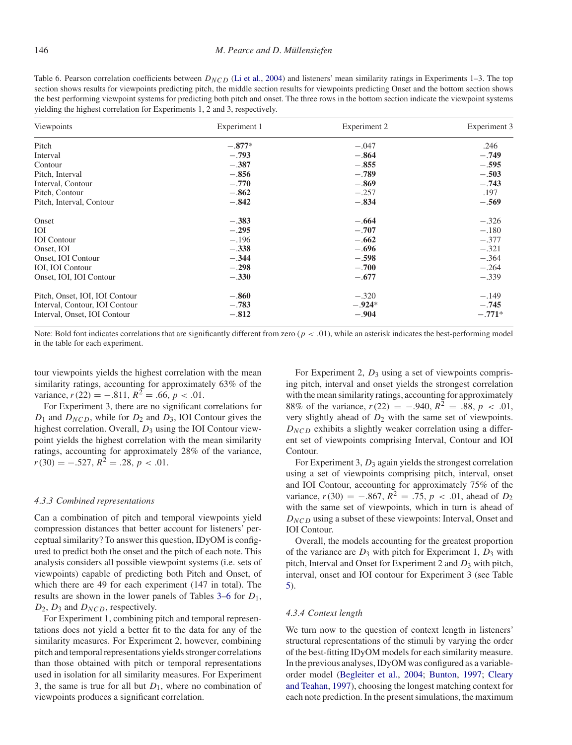<span id="page-12-0"></span>Table 6. Pearson correlation coefficients between *D<sub>NCD</sub>* [\(Li et al.](#page-19-16), [2004\)](#page-19-16) and listeners' mean similarity ratings in Experiments 1–3. The top section shows results for viewpoints predicting pitch, the middle section results for viewpoints predicting Onset and the bottom section shows the best performing viewpoint systems for predicting both pitch and onset. The three rows in the bottom section indicate the viewpoint systems yielding the highest correlation for Experiments 1, 2 and 3, respectively.

| Viewpoints                     | Experiment 1 | Experiment 2 | Experiment 3 |
|--------------------------------|--------------|--------------|--------------|
| Pitch                          | $-.877*$     | $-.047$      | .246         |
| Interval                       | $-.793$      | $-.864$      | $-.749$      |
| Contour                        | $-.387$      | $-.855$      | $-.595$      |
| Pitch, Interval                | $-.856$      | $-.789$      | $-.503$      |
| Interval, Contour              | $-.770$      | $-.869$      | $-.743$      |
| Pitch, Contour                 | $-.862$      | $-.257$      | .197         |
| Pitch, Interval, Contour       | $-.842$      | $-.834$      | $-.569$      |
| Onset                          | $-.383$      | $-.664$      | $-.326$      |
| <b>IOI</b>                     | $-.295$      | $-.707$      | $-.180$      |
| <b>IOI</b> Contour             | $-.196$      | $-.662$      | $-.377$      |
| Onset, IOI                     | $-.338$      | $-.696$      | $-.321$      |
| Onset, IOI Contour             | $-.344$      | $-.598$      | $-.364$      |
| IOI, IOI Contour               | $-.298$      | $-.700$      | $-.264$      |
| Onset, IOI, IOI Contour        | $-.330$      | $-.677$      | $-.339$      |
| Pitch, Onset, IOI, IOI Contour | $-.860$      | $-.320$      | $-.149$      |
| Interval, Contour, IOI Contour | $-.783$      | $-.924*$     | $-.745$      |
| Interval, Onset, IOI Contour   | $-.812$      | $-.904$      | $-.771*$     |

Note: Bold font indicates correlations that are significantly different from zero ( $p < .01$ ), while an asterisk indicates the best-performing model in the table for each experiment.

tour viewpoints yields the highest correlation with the mean similarity ratings, accounting for approximately 63% of the variance,  $r(22) = -.811$ ,  $R^2 = .66$ ,  $p < .01$ .

For Experiment 3, there are no significant correlations for  $D_1$  and  $D_{NCD}$ , while for  $D_2$  and  $D_3$ , IOI Contour gives the highest correlation. Overall,  $D_3$  using the IOI Contour viewpoint yields the highest correlation with the mean similarity ratings, accounting for approximately 28% of the variance,  $r(30) = -.527, R^2 = .28, p < .01.$ 

#### *4.3.3 Combined representations*

Can a combination of pitch and temporal viewpoints yield compression distances that better account for listeners' perceptual similarity? To answer this question, IDyOM is configured to predict both the onset and the pitch of each note. This analysis considers all possible viewpoint systems (i.e. sets of viewpoints) capable of predicting both Pitch and Onset, of which there are 49 for each experiment (147 in total). The results are shown in the lower panels of Tables [3](#page-10-1)[–6](#page-12-0) for *D*1, *D*<sub>2</sub>, *D*<sub>3</sub> and *D<sub>NCD</sub>*, respectively.

For Experiment 1, combining pitch and temporal representations does not yield a better fit to the data for any of the similarity measures. For Experiment 2, however, combining pitch and temporal representations yields stronger correlations than those obtained with pitch or temporal representations used in isolation for all similarity measures. For Experiment 3, the same is true for all but  $D_1$ , where no combination of viewpoints produces a significant correlation.

For Experiment 2,  $D_3$  using a set of viewpoints comprising pitch, interval and onset yields the strongest correlation with the mean similarity ratings, accounting for approximately 88% of the variance,  $r(22) = -.940$ ,  $R^2 = .88$ ,  $p < .01$ , very slightly ahead of *D*<sup>2</sup> with the same set of viewpoints. *D<sub>NCD</sub>* exhibits a slightly weaker correlation using a different set of viewpoints comprising Interval, Contour and IOI Contour.

For Experiment 3,  $D_3$  again yields the strongest correlation using a set of viewpoints comprising pitch, interval, onset and IOI Contour, accounting for approximately 75% of the variance,  $r(30) = -.867$ ,  $R^2 = .75$ ,  $p < .01$ , ahead of  $D_2$ with the same set of viewpoints, which in turn is ahead of *D<sub>NCD</sub>* using a subset of these viewpoints: Interval, Onset and IOI Contour.

Overall, the models accounting for the greatest proportion of the variance are  $D_3$  with pitch for Experiment 1,  $D_3$  with pitch, Interval and Onset for Experiment 2 and *D*<sup>3</sup> with pitch, interval, onset and IOI contour for Experiment 3 (see Table [5\)](#page-11-0).

## *4.3.4 Context length*

We turn now to the question of context length in listeners' structural representations of the stimuli by varying the order of the best-fitting IDyOM models for each similarity measure. In the previous analyses, IDyOM was configured as a variableorder mod[el](#page-18-12) [\(Begleiter et al.](#page-18-17)[,](#page-18-12) [2004;](#page-18-17) [Bunton,](#page-18-16) [1997](#page-18-16); Cleary and Teahan, [1997\)](#page-18-12), choosing the longest matching context for each note prediction. In the present simulations, the maximum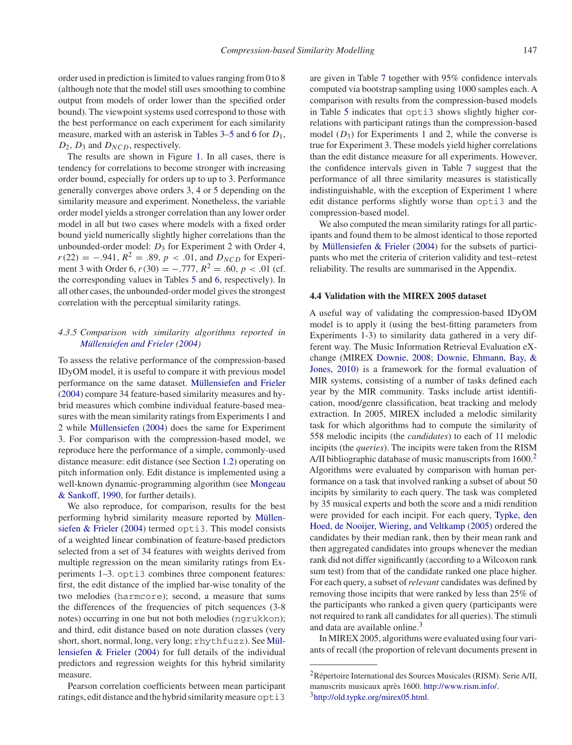order used in prediction is limited to values ranging from 0 to 8 (although note that the model still uses smoothing to combine output from models of order lower than the specified order bound). The viewpoint systems used correspond to those with the best performance on each experiment for each similarity measure, marked with an asterisk in Tables [3–](#page-10-1)[5](#page-11-0) and [6](#page-12-0) for *D*1, *D*<sub>2</sub>, *D*<sub>3</sub> and *D<sub>NCD</sub>*, respectively.

The results are shown in Figure [1.](#page-14-0) In all cases, there is tendency for correlations to become stronger with increasing order bound, especially for orders up to up to 3. Performance generally converges above orders 3, 4 or 5 depending on the similarity measure and experiment. Nonetheless, the variable order model yields a stronger correlation than any lower order model in all but two cases where models with a fixed order bound yield numerically slightly higher correlations than the unbounded-order model: *D*<sub>3</sub> for Experiment 2 with Order 4,  $r(22) = -.941, R^2 = .89, p < .01,$  and  $D_{NCD}$  for Experiment 3 with Order 6,  $r(30) = -.777$ ,  $R^2 = .60$ ,  $p < .01$  (cf. the corresponding values in Tables [5](#page-11-0) and [6,](#page-12-0) respectively). In all other cases, the unbounded-order model gives the strongest correlation with the perceptual similarity ratings.

## <span id="page-13-2"></span>*4.3.5 Comparison with similarity algorithms reported in [Müllensiefen and Frieler](#page-20-1) [\(2004\)](#page-20-1)*

To assess the relative performance of the compression-based IDyOM model, it is useful to compare it with previous model performance on the same dataset. [Müllensiefen and Frieler](#page-20-1) [\(2004](#page-20-1)) compare 34 feature-based similarity measures and hybrid measures which combine individual feature-based measures with the mean similarity ratings from Experiments 1 and 2 while [Müllensiefen](#page-20-2) [\(2004](#page-20-2)) does the same for Experiment 3. For comparison with the compression-based model, we reproduce here the performance of a simple, commonly-used distance measure: edit distance (see Section [1.2\)](#page-2-1) operating on pitch information only. Edit distance is implemented using a well-kno[wn dynamic-programming algorithm \(see](#page-20-6) Mongeau & Sankoff, [1990,](#page-20-6) for further details).

We also reproduce, for comparison, results for the best performing hyb[rid similarity measure reported by](#page-20-1) Müllensiefen & Frieler [\(2004](#page-20-1)) termed opti3. This model consists of a weighted linear combination of feature-based predictors selected from a set of 34 features with weights derived from multiple regression on the mean similarity ratings from Experiments 1–3. opti3 combines three component features: first, the edit distance of the implied bar-wise tonality of the two melodies (harmcore); second, a measure that sums the differences of the frequencies of pitch sequences (3-8 notes) occurring in one but not both melodies (ngrukkon); and third, edit distance based on note duration classes (very short, short, normal[, long, very long;](#page-20-1) rhythfuzz). See Müllensiefen & Frieler [\(2004\)](#page-20-1) for full details of the individual predictors and regression weights for this hybrid similarity measure.

Pearson correlation coefficients between mean participant ratings, edit distance and the hybrid similarity measure opti3

are given in Table [7](#page-14-1) together with 95% confidence intervals computed via bootstrap sampling using 1000 samples each. A comparison with results from the compression-based models in Table [5](#page-11-0) indicates that opti3 shows slightly higher correlations with participant ratings than the compression-based model  $(D_3)$  for Experiments 1 and 2, while the converse is true for Experiment 3. These models yield higher correlations than the edit distance measure for all experiments. However, the confidence intervals given in Table [7](#page-14-1) suggest that the performance of all three similarity measures is statistically indistinguishable, with the exception of Experiment 1 where edit distance performs slightly worse than opti3 and the compression-based model.

We also computed the mean similarity ratings for all participants and found them to be almost identical to those reported by [Müllensiefen & Frieler](#page-20-1) [\(2004](#page-20-1)) for the subsets of participants who met the criteria of criterion validity and test–retest reliability. The results are summarised in the Appendix.

#### **4.4 Validation with the MIREX 2005 dataset**

A useful way of validating the compression-based IDyOM model is to apply it (using the best-fitting parameters from Experiments 1-3) to similarity data gathered in a very different way. The Music Information Retrieval Evaluation eXchan[ge \(MIREX](#page-19-25) [Downie,](#page-19-24) [2008](#page-19-24); Downie, Ehmann, Bay, & Jones, [2010](#page-19-25)) is a framework for the formal evaluation of MIR systems, consisting of a number of tasks defined each year by the MIR community. Tasks include artist identification, mood/genre classification, beat tracking and melody extraction. In 2005, MIREX included a melodic similarity task for which algorithms had to compute the similarity of 558 melodic incipits (the *candidates*) to each of 11 melodic incipits (the *queries*). The incipits were taken from the RISM A/II bibliographic database of music manuscripts from 1600.<sup>[2](#page-13-0)</sup> Algorithms were evaluated by comparison with human performance on a task that involved ranking a subset of about 50 incipits by similarity to each query. The task was completed by 35 musical experts and both the score and a midi rendition were provided for each incipit. For each [query,](#page-21-8) Typke, den Hoed, de Nooijer, Wiering, and Veltkamp [\(2005](#page-21-8)) ordered the candidates by their median rank, then by their mean rank and then aggregated candidates into groups whenever the median rank did not differ significantly (according to a Wilcoxon rank sum test) from that of the candidate ranked one place higher. For each query, a subset of*relevant* candidates was defined by removing those incipits that were ranked by less than 25% of the participants who ranked a given query (participants were not required to rank all candidates for all queries). The stimuli and data are available online.<sup>3</sup>

In MIREX 2005, algorithms were evaluated using four variants of recall (the proportion of relevant documents present in

<span id="page-13-1"></span><span id="page-13-0"></span><sup>2</sup>Répertoire International des Sources Musicales (RISM). Serie A/II, manuscrits musicaux après 1600. [http://www.rism.info/.](http://www.rism.info/) [3http://old.typke.org/mirex05.html.](http://old.typke.org/mirex05.html)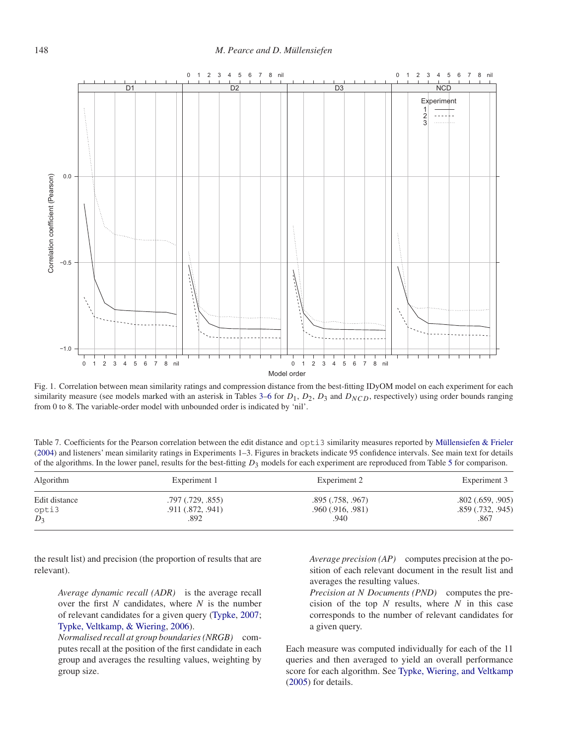

<span id="page-14-0"></span>Fig. 1. Correlation between mean similarity ratings and compression distance from the best-fitting IDyOM model on each experiment for each similarity measure (see models marked with an asterisk in Tables  $3-6$  $3-6$  for  $D_1$ ,  $D_2$ ,  $D_3$  and  $D_{NCD}$ , respectively) using order bounds ranging from 0 to 8. The variable-order model with unbounded order is indicated by 'nil'.

<span id="page-14-1"></span>Table 7. Coefficients for the Pearson correlation between the edit distance and opti3 similarity measures reported by [Müllensiefen & Frieler](#page-20-1) [\(2004\)](#page-20-1) and listeners' mean similarity ratings in Experiments 1–3. Figures in brackets indicate 95 confidence intervals. See main text for details of the algorithms. In the lower panel, results for the best-fitting  $D_3$  models for each experiment are reproduced from Table [5](#page-11-0) for comparison.

| Algorithm              | Experiment 1                               | Experiment 2                              | Experiment 3                               |
|------------------------|--------------------------------------------|-------------------------------------------|--------------------------------------------|
| Edit distance<br>opti3 | $.797$ $(.729, .855)$<br>.911 (.872, .941) | .895(.758, .967)<br>$.960$ $(.916, .981)$ | $.802$ $(.659, .905)$<br>.859 (.732, .945) |
| $D_3$                  | .892                                       | .940                                      | .867                                       |

the result list) and precision (the proportion of results that are relevant).

> *Average dynamic recall (ADR)* is the average recall over the first *N* candidates, where *N* is the number of relevant candidates for a given query [\(Typke](#page-21-9), [2007](#page-21-9); [Typke, Veltkamp, & Wiering,](#page-21-10) [2006\)](#page-21-10).

> *Normalised recall at group boundaries (NRGB)* computes recall at the position of the first candidate in each group and averages the resulting values, weighting by group size.

*Average precision (AP)* computes precision at the position of each relevant document in the result list and averages the resulting values.

*Precision at N Documents (PND)* computes the precision of the top *N* results, where *N* in this case corresponds to the number of relevant candidates for a given query.

Each measure was computed individually for each of the 11 queries and then averaged to yield an overall performance score for each algorithm. See [Typke, Wiering, and Veltkamp](#page-21-11) [\(2005\)](#page-21-11) for details.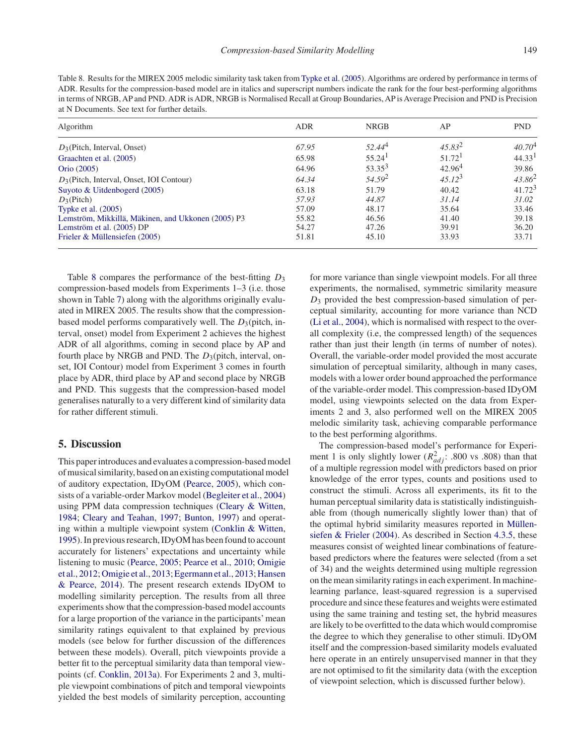<span id="page-15-1"></span>Table 8. Results for the MIREX 2005 melodic similarity task taken from [Typke et al.](#page-21-11) [\(2005](#page-21-11)). Algorithms are ordered by performance in terms of ADR. Results for the compression-based model are in italics and superscript numbers indicate the rank for the four best-performing algorithms in terms of NRGB, AP and PND. ADR is ADR, NRGB is Normalised Recall at Group Boundaries, AP is Average Precision and PND is Precision at N Documents. See text for further details.

| <b>Algorithm</b>                                   | <b>ADR</b> | <b>NRGB</b>        | AP                 | <b>PND</b>         |
|----------------------------------------------------|------------|--------------------|--------------------|--------------------|
| $D_3$ (Pitch, Interval, Onset)                     | 67.95      | $52.44^{4}$        | $45.83^{2}$        | $40.70^{4}$        |
| Graachten et al. (2005)                            | 65.98      | 55.24 <sup>1</sup> | 51.72 <sup>1</sup> | 44.33 <sup>1</sup> |
| Orio (2005)                                        | 64.96      | $53.35^3$          | 42.96 <sup>4</sup> | 39.86              |
| $D_3$ (Pitch, Interval, Onset, IOI Contour)        | 64.34      | 54.59 <sup>2</sup> | $45.12^{3}$        | $43.86^{2}$        |
| Suyoto & Uitdenbogerd $(2005)$                     | 63.18      | 51.79              | 40.42              | $41.72^3$          |
| $D_3$ (Pitch)                                      | 57.93      | 44.87              | 31.14              | 31.02              |
| Typke et al. $(2005)$                              | 57.09      | 48.17              | 35.64              | 33.46              |
| Lemström, Mikkillä, Mäkinen, and Ukkonen (2005) P3 | 55.82      | 46.56              | 41.40              | 39.18              |
| Lemström et al. (2005) DP                          | 54.27      | 47.26              | 39.91              | 36.20              |
| Frieler & Müllensiefen (2005)                      | 51.81      | 45.10              | 33.93              | 33.71              |

Table [8](#page-15-1) compares the performance of the best-fitting  $D_3$ compression-based models from Experiments 1–3 (i.e. those shown in Table [7\)](#page-14-1) along with the algorithms originally evaluated in MIREX 2005. The results show that the compressionbased model performs comparatively well. The  $D_3$ (pitch, interval, onset) model from Experiment 2 achieves the highest ADR of all algorithms, coming in second place by AP and fourth place by NRGB and PND. The *D*3(pitch, interval, onset, IOI Contour) model from Experiment 3 comes in fourth place by ADR, third place by AP and second place by NRGB and PND. This suggests that the compression-based model generalises naturally to a very different kind of similarity data for rather different stimuli.

## <span id="page-15-0"></span>**5. Discussion**

This paper introduces and evaluates a compression-based model of musical similarity, based on an existing computational model of auditory expectation, IDyOM [\(Pearce](#page-20-13), [2005\)](#page-20-13), which consists of a variable-order Markov model [\(Begleiter et al.,](#page-18-17) [2004\)](#page-18-17) using PPM data compression techniques [\(Cleary & Witten,](#page-18-11) [1984](#page-18-11); [Cleary and Teahan](#page-18-12), [1997](#page-18-12); [Bunton,](#page-18-16) [1997\)](#page-18-16) and operating within a multiple viewpoint system [\(Conklin & Witten,](#page-19-18) [1995](#page-19-18)). In previous research, IDyOM has been found to account accurately for listeners' expectations and uncertainty while liste[ning to music](#page-20-16) [\(Pearce](#page-20-13)[,](#page-20-16) [2005](#page-20-13); [Pearce et al.](#page-20-15), [2010](#page-20-15); Omigie et al., [2012](#page-20-16); [Omigie et al.,](#page-20-17) [2013;](#page-20-17) [Egermann et al.](#page-19-19)[,](#page-19-20) [2013](#page-19-19); Hansen & Pearce, [2014](#page-19-20)). The present research extends IDyOM to modelling similarity perception. The results from all three experiments show that the compression-based model accounts for a large proportion of the variance in the participants'mean similarity ratings equivalent to that explained by previous models (see below for further discussion of the differences between these models). Overall, pitch viewpoints provide a better fit to the perceptual similarity data than temporal viewpoints (cf. [Conklin](#page-19-28), [2013a](#page-19-28)). For Experiments 2 and 3, multiple viewpoint combinations of pitch and temporal viewpoints yielded the best models of similarity perception, accounting

for more variance than single viewpoint models. For all three experiments, the normalised, symmetric similarity measure *D*<sup>3</sup> provided the best compression-based simulation of perceptual similarity, accounting for more variance than NCD [\(Li et al.](#page-19-16), [2004\)](#page-19-16), which is normalised with respect to the overall complexity (i.e, the compressed length) of the sequences rather than just their length (in terms of number of notes). Overall, the variable-order model provided the most accurate simulation of perceptual similarity, although in many cases, models with a lower order bound approached the performance of the variable-order model. This compression-based IDyOM model, using viewpoints selected on the data from Experiments 2 and 3, also performed well on the MIREX 2005 melodic similarity task, achieving comparable performance to the best performing algorithms.

The compression-based model's performance for Experiment 1 is only slightly lower ( $R_{adj}^2$ : .800 vs .808) than that of a multiple regression model with predictors based on prior knowledge of the error types, counts and positions used to construct the stimuli. Across all experiments, its fit to the human perceptual similarity data is statistically indistinguishable from (though numerically slightly lower than) that of the optimal hy[brid similarity measures reported in](#page-20-1) Müllensiefen & Frieler [\(2004](#page-20-1)). As described in Section [4.3.5,](#page-13-2) these measures consist of weighted linear combinations of featurebased predictors where the features were selected (from a set of 34) and the weights determined using multiple regression on the mean similarity ratings in each experiment. In machinelearning parlance, least-squared regression is a supervised procedure and since these features and weights were estimated using the same training and testing set, the hybrid measures are likely to be overfitted to the data which would compromise the degree to which they generalise to other stimuli. IDyOM itself and the compression-based similarity models evaluated here operate in an entirely unsupervised manner in that they are not optimised to fit the similarity data (with the exception of viewpoint selection, which is discussed further below).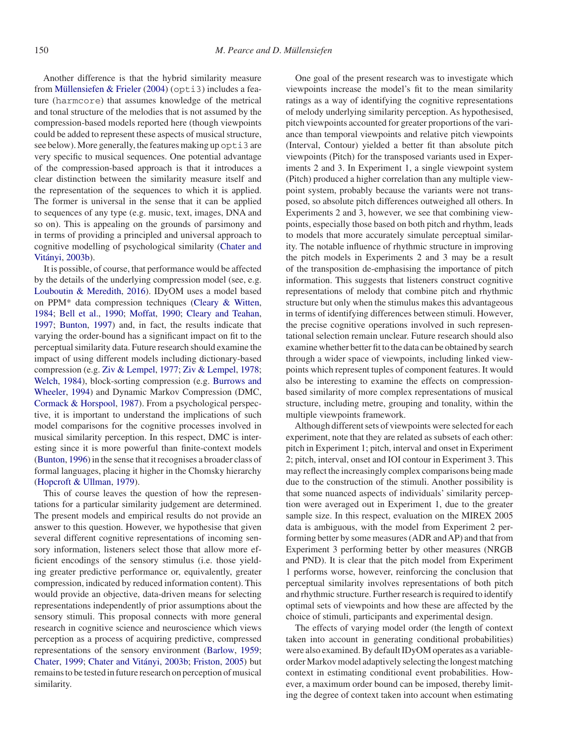Another difference is that the hybrid similarity measure from [Müllensiefen & Frieler](#page-20-1) [\(2004\)](#page-20-1) (opti3) includes a feature (harmcore) that assumes knowledge of the metrical and tonal structure of the melodies that is not assumed by the compression-based models reported here (though viewpoints could be added to represent these aspects of musical structure, see below). More generally, the features making up opti3 are very specific to musical sequences. One potential advantage of the compression-based approach is that it introduces a clear distinction between the similarity measure itself and the representation of the sequences to which it is applied. The former is universal in the sense that it can be applied to sequences of any type (e.g. music, text, images, DNA and so on). This is appealing on the grounds of parsimony and in terms of providing a principled and universal approach to cogniti[ve modelling of psychological similarity \(](#page-18-6)Chater and Vitányi, [2003b\)](#page-18-6).

It is possible, of course, that performance would be affected by the details of the underlying compression model (see, e.g. [Louboutin & Meredith](#page-19-17), [2016](#page-19-17)). IDyOM uses a model based on PPM\* data compression techniques [\(Cleary & Witten](#page-18-11), [1984;](#page-18-11) [Bell et al.,](#page-18-15) [1990](#page-18-15); [Moffat,](#page-20-23) [1990](#page-20-23); [Cleary and Teahan](#page-18-12), [1997;](#page-18-12) [Bunton,](#page-18-16) [1997](#page-18-16)) and, in fact, the results indicate that varying the order-bound has a significant impact on fit to the perceptual similarity data. Future research should examine the impact of using different models including dictionary-based compression (e.g. [Ziv & Lempel](#page-21-3), [1977](#page-21-3); [Ziv & Lempel](#page-21-4), [1978](#page-21-4); [Welch,](#page-21-5) [1984](#page-21-5)[\), block-sorting compression \(e.g.](#page-18-10) Burrows and Wheeler, [1994\)](#page-18-10) and Dynamic Markov Compression (DMC, [Cormack & Horspool,](#page-19-29) [1987\)](#page-19-29). From a psychological perspective, it is important to understand the implications of such model comparisons for the cognitive processes involved in musical similarity perception. In this respect, DMC is interesting since it is more powerful than finite-context models [\(Bunton](#page-18-19), [1996](#page-18-19)) in the sense that it recognises a broader class of formal languages, placing it higher in the Chomsky hierarchy [\(Hopcroft & Ullman](#page-19-30), [1979](#page-19-30)).

This of course leaves the question of how the representations for a particular similarity judgement are determined. The present models and empirical results do not provide an answer to this question. However, we hypothesise that given several different cognitive representations of incoming sensory information, listeners select those that allow more efficient encodings of the sensory stimulus (i.e. those yielding greater predictive performance or, equivalently, greater compression, indicated by reduced information content). This would provide an objective, data-driven means for selecting representations independently of prior assumptions about the sensory stimuli. This proposal connects with more general research in cognitive science and neuroscience which views perception as a process of acquiring predictive, compressed representations of the sensory environment [\(Barlow,](#page-18-20) [1959](#page-18-20); [Chater](#page-18-5), [1999;](#page-18-5) [Chater and Vitányi](#page-18-6), [2003b;](#page-18-6) [Friston](#page-19-31), [2005\)](#page-19-31) but remains to be tested in future research on perception of musical similarity.

One goal of the present research was to investigate which viewpoints increase the model's fit to the mean similarity ratings as a way of identifying the cognitive representations of melody underlying similarity perception. As hypothesised, pitch viewpoints accounted for greater proportions of the variance than temporal viewpoints and relative pitch viewpoints (Interval, Contour) yielded a better fit than absolute pitch viewpoints (Pitch) for the transposed variants used in Experiments 2 and 3. In Experiment 1, a single viewpoint system (Pitch) produced a higher correlation than any multiple viewpoint system, probably because the variants were not transposed, so absolute pitch differences outweighed all others. In Experiments 2 and 3, however, we see that combining viewpoints, especially those based on both pitch and rhythm, leads to models that more accurately simulate perceptual similarity. The notable influence of rhythmic structure in improving the pitch models in Experiments 2 and 3 may be a result of the transposition de-emphasising the importance of pitch information. This suggests that listeners construct cognitive representations of melody that combine pitch and rhythmic structure but only when the stimulus makes this advantageous in terms of identifying differences between stimuli. However, the precise cognitive operations involved in such representational selection remain unclear. Future research should also examine whether better fit to the data can be obtained by search through a wider space of viewpoints, including linked viewpoints which represent tuples of component features. It would also be interesting to examine the effects on compressionbased similarity of more complex representations of musical structure, including metre, grouping and tonality, within the multiple viewpoints framework.

Although different sets of viewpoints were selected for each experiment, note that they are related as subsets of each other: pitch in Experiment 1; pitch, interval and onset in Experiment 2; pitch, interval, onset and IOI contour in Experiment 3. This may reflect the increasingly complex comparisons being made due to the construction of the stimuli. Another possibility is that some nuanced aspects of individuals' similarity perception were averaged out in Experiment 1, due to the greater sample size. In this respect, evaluation on the MIREX 2005 data is ambiguous, with the model from Experiment 2 performing better by some measures (ADR and AP) and that from Experiment 3 performing better by other measures (NRGB and PND). It is clear that the pitch model from Experiment 1 performs worse, however, reinforcing the conclusion that perceptual similarity involves representations of both pitch and rhythmic structure. Further research is required to identify optimal sets of viewpoints and how these are affected by the choice of stimuli, participants and experimental design.

The effects of varying model order (the length of context taken into account in generating conditional probabilities) were also examined. By default IDyOM operates as a variableorder Markov model adaptively selecting the longest matching context in estimating conditional event probabilities. However, a maximum order bound can be imposed, thereby limiting the degree of context taken into account when estimating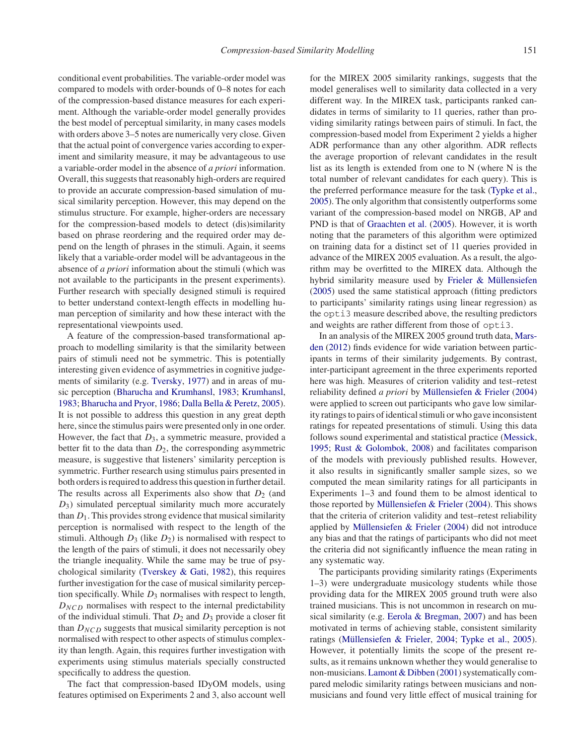conditional event probabilities. The variable-order model was compared to models with order-bounds of 0–8 notes for each of the compression-based distance measures for each experiment. Although the variable-order model generally provides the best model of perceptual similarity, in many cases models with orders above 3–5 notes are numerically very close. Given that the actual point of convergence varies according to experiment and similarity measure, it may be advantageous to use a variable-order model in the absence of *a priori* information. Overall, this suggests that reasonably high-orders are required to provide an accurate compression-based simulation of musical similarity perception. However, this may depend on the stimulus structure. For example, higher-orders are necessary for the compression-based models to detect (dis)similarity based on phrase reordering and the required order may depend on the length of phrases in the stimuli. Again, it seems likely that a variable-order model will be advantageous in the absence of *a priori* information about the stimuli (which was not available to the participants in the present experiments). Further research with specially designed stimuli is required to better understand context-length effects in modelling human perception of similarity and how these interact with the representational viewpoints used.

A feature of the compression-based transformational approach to modelling similarity is that the similarity between pairs of stimuli need not be symmetric. This is potentially interesting given evidence of asymmetries in cognitive judgements of similarity (e.g. [Tversky](#page-21-0), [1977](#page-21-0)) and in areas of music perception [\(Bharucha and Krumhansl,](#page-18-21) [1983;](#page-18-21) [Krumhansl,](#page-19-32) [1983](#page-19-32); [Bharucha and Pryor,](#page-18-22) [1986](#page-18-22); [Dalla Bella & Peretz](#page-19-33), [2005\)](#page-19-33). It is not possible to address this question in any great depth here, since the stimulus pairs were presented only in one order. However, the fact that *D*3, a symmetric measure, provided a better fit to the data than  $D_2$ , the corresponding asymmetric measure, is suggestive that listeners' similarity perception is symmetric. Further research using stimulus pairs presented in both orders is required to address this question in further detail. The results across all Experiments also show that  $D_2$  (and *D*3) simulated perceptual similarity much more accurately than  $D_1$ . This provides strong evidence that musical similarity perception is normalised with respect to the length of the stimuli. Although  $D_3$  (like  $D_2$ ) is normalised with respect to the length of the pairs of stimuli, it does not necessarily obey the triangle inequality. While the same may be true of psychological similarity [\(Tverskey & Gati,](#page-20-12) [1982\)](#page-20-12), this requires further investigation for the case of musical similarity perception specifically. While  $D_3$  normalises with respect to length, *D<sub>NCD</sub>* normalises with respect to the internal predictability of the individual stimuli. That *D*<sup>2</sup> and *D*<sup>3</sup> provide a closer fit than  $D_{NCD}$  suggests that musical similarity perception is not normalised with respect to other aspects of stimulus complexity than length. Again, this requires further investigation with experiments using stimulus materials specially constructed specifically to address the question.

The fact that compression-based IDyOM models, using features optimised on Experiments 2 and 3, also account well for the MIREX 2005 similarity rankings, suggests that the model generalises well to similarity data collected in a very different way. In the MIREX task, participants ranked candidates in terms of similarity to 11 queries, rather than providing similarity ratings between pairs of stimuli. In fact, the compression-based model from Experiment 2 yields a higher ADR performance than any other algorithm. ADR reflects the average proportion of relevant candidates in the result list as its length is extended from one to N (where N is the total number of relevant candidates for each query). This is the preferred performance measure for the task [\(Typke et al.,](#page-21-11) [2005](#page-21-11)). The only algorithm that consistently outperforms some variant of the compression-based model on NRGB, AP and PND is that of [Graachten et al.](#page-19-10) [\(2005](#page-19-10)). However, it is worth noting that the parameters of this algorithm were optimized on training data for a distinct set of 11 queries provided in advance of the MIREX 2005 evaluation. As a result, the algorithm may be overfitted to the MIREX data. Although the hybrid similarity measure used by [Frieler & Müllensiefen](#page-19-27) [\(2005](#page-19-27)) used the same statistical approach (fitting predictors to participants' similarity ratings using linear regression) as the opti3 measure described above, the resulting predictors and weights are rather different from those of opti3.

I[n](#page-20-34) [an](#page-20-34) [analysis](#page-20-34) [of](#page-20-34) [the](#page-20-34) [MIREX](#page-20-34) [2005](#page-20-34) [ground](#page-20-34) [truth](#page-20-34) [data,](#page-20-34) Marsden [\(2012](#page-20-34)) finds evidence for wide variation between participants in terms of their similarity judgements. By contrast, inter-participant agreement in the three experiments reported here was high. Measures of criterion validity and test–retest reliability defined *a priori* by [Müllensiefen & Frieler](#page-20-1) [\(2004](#page-20-1)) were applied to screen out participants who gave low similarity ratings to pairs of identical stimuli or who gave inconsistent ratings for repeated presentations of stimuli. Using this data follows sound experimental and statistical practice [\(Messick,](#page-20-24) [1995](#page-20-24); [Rust & Golombok](#page-20-25), [2008\)](#page-20-25) and facilitates comparison of the models with previously published results. However, it also results in significantly smaller sample sizes, so we computed the mean similarity ratings for all participants in Experiments 1–3 and found them to be almost identical to those reported by [Müllensiefen & Frieler](#page-20-1) [\(2004](#page-20-1)). This shows that the criteria of criterion validity and test–retest reliability applied by [Müllensiefen & Frieler](#page-20-1) [\(2004](#page-20-1)) did not introduce any bias and that the ratings of participants who did not meet the criteria did not significantly influence the mean rating in any systematic way.

The participants providing similarity ratings (Experiments 1–3) were undergraduate musicology students while those providing data for the MIREX 2005 ground truth were also trained musicians. This is not uncommon in research on musical similarity (e.g. [Eerola & Bregman,](#page-19-11) [2007](#page-19-11)) and has been motivated in terms of achieving stable, consistent similarity ratings [\(Müllensiefen & Frieler,](#page-20-1) [2004;](#page-20-1) [Typke et al.](#page-21-8), [2005\)](#page-21-8). However, it potentially limits the scope of the present results, as it remains unknown whether they would generalise to non-musicians. [Lamont & Dibben](#page-19-34) [\(2001](#page-19-34)) systematically compared melodic similarity ratings between musicians and nonmusicians and found very little effect of musical training for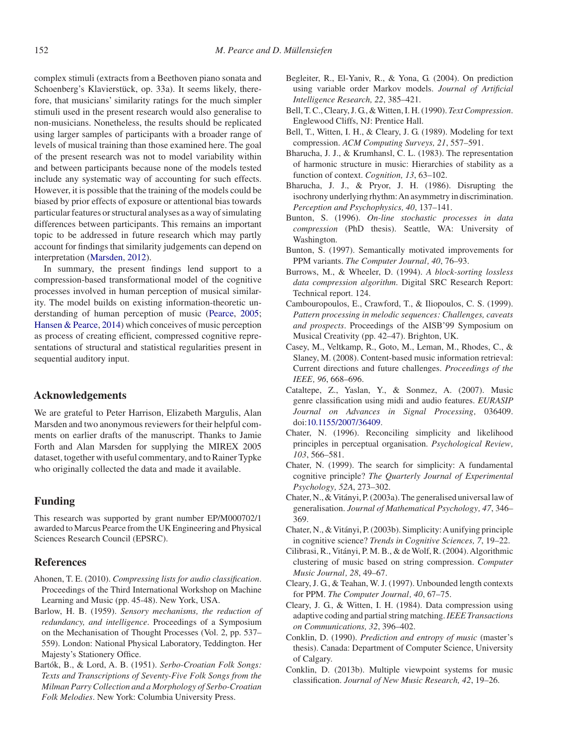complex stimuli (extracts from a Beethoven piano sonata and Schoenberg's Klavierstück, op. 33a). It seems likely, therefore, that musicians' similarity ratings for the much simpler stimuli used in the present research would also generalise to non-musicians. Nonetheless, the results should be replicated using larger samples of participants with a broader range of levels of musical training than those examined here. The goal of the present research was not to model variability within and between participants because none of the models tested include any systematic way of accounting for such effects. However, it is possible that the training of the models could be biased by prior effects of exposure or attentional bias towards particular features or structural analyses as a way of simulating differences between participants. This remains an important topic to be addressed in future research which may partly account for findings that similarity judgements can depend on interpretation [\(Marsden,](#page-20-34) [2012\)](#page-20-34).

In summary, the present findings lend support to a compression-based transformational model of the cognitive processes involved in human perception of musical similarity. The model builds on existing information-theoretic understanding of human perception of music [\(Pearce](#page-20-13), [2005](#page-20-13); [Hansen & Pearce](#page-19-20), [2014\)](#page-19-20) which conceives of music perception as process of creating efficient, compressed cognitive representations of structural and statistical regularities present in sequential auditory input.

## **Acknowledgements**

We are grateful to Peter Harrison, Elizabeth Margulis, Alan Marsden and two anonymous reviewers for their helpful comments on earlier drafts of the manuscript. Thanks to Jamie Forth and Alan Marsden for supplying the MIREX 2005 dataset, together with useful commentary, and to Rainer Typke who originally collected the data and made it available.

## **Funding**

This research was supported by grant number EP/M000702/1 awarded to Marcus Pearce from the UK Engineering and Physical Sciences Research Council (EPSRC).

## **References**

- <span id="page-18-3"></span>Ahonen, T. E. (2010). *Compressing lists for audio classification*. Proceedings of the Third International Workshop on Machine Learning and Music (pp. 45-48). New York, USA.
- <span id="page-18-20"></span>Barlow, H. B. (1959). *Sensory mechanisms, the reduction of redundancy, and intelligence*. Proceedings of a Symposium on the Mechanisation of Thought Processes (Vol. 2, pp. 537– 559). London: National Physical Laboratory, Teddington. Her Majesty's Stationery Office.
- <span id="page-18-8"></span>Bartók, B., & Lord, A. B. (1951). *Serbo-Croatian Folk Songs: Texts and Transcriptions of Seventy-Five Folk Songs from the Milman Parry Collection and a Morphology of Serbo-Croatian Folk Melodies*. New York: Columbia University Press.
- <span id="page-18-17"></span>Begleiter, R., El-Yaniv, R., & Yona, G. (2004). On prediction using variable order Markov models. *Journal of Artificial Intelligence Research, 22*, 385–421.
- <span id="page-18-15"></span>Bell, T. C., Cleary, J. G., & Witten, I. H. (1990). *Text Compression*. Englewood Cliffs, NJ: Prentice Hall.
- <span id="page-18-14"></span>Bell, T., Witten, I. H., & Cleary, J. G. (1989). Modeling for text compression. *ACM Computing Surveys, 21*, 557–591.
- <span id="page-18-21"></span>Bharucha, J. J., & Krumhansl, C. L. (1983). The representation of harmonic structure in music: Hierarchies of stability as a function of context. *Cognition, 13*, 63–102.
- <span id="page-18-22"></span>Bharucha, J. J., & Pryor, J. H. (1986). Disrupting the isochrony underlying rhythm:An asymmetry in discrimination. *Perception and Psychophysics, 40*, 137–141.
- <span id="page-18-19"></span>Bunton, S. (1996). *On-line stochastic processes in data compression* (PhD thesis). Seattle, WA: University of Washington.
- <span id="page-18-16"></span>Bunton, S. (1997). Semantically motivated improvements for PPM variants. *The Computer Journal, 40*, 76–93.
- <span id="page-18-10"></span>Burrows, M., & Wheeler, D. (1994). *A block-sorting lossless data compression algorithm*. Digital SRC Research Report: Technical report. 124.
- <span id="page-18-9"></span>Cambouropoulos, E., Crawford, T., & Iliopoulos, C. S. (1999). *Pattern processing in melodic sequences: Challenges, caveats and prospects*. Proceedings of the AISB'99 Symposium on Musical Creativity (pp. 42–47). Brighton, UK.
- <span id="page-18-0"></span>Casey, M., Veltkamp, R., Goto, M., Leman, M., Rhodes, C., & Slaney, M. (2008). Content-based music information retrieval: Current directions and future challenges. *Proceedings of the IEEE, 96*, 668–696.
- <span id="page-18-1"></span>Cataltepe, Z., Yaslan, Y., & Sonmez, A. (2007). Music genre classification using midi and audio features. *EURASIP Journal on Advances in Signal Processing,* 036409. doi[:10.1155/2007/36409.](https://doi.org/10.1155/2007/36409)
- <span id="page-18-4"></span>Chater, N. (1996). Reconciling simplicity and likelihood principles in perceptual organisation. *Psychological Review, 103*, 566–581.
- <span id="page-18-5"></span>Chater, N. (1999). The search for simplicity: A fundamental cognitive principle? *The Quarterly Journal of Experimental Psychology, 52A*, 273–302.
- <span id="page-18-7"></span>Chater, N., & Vitányi, P. (2003a). The generalised universal law of generalisation. *Journal of Mathematical Psychology, 47*, 346– 369.
- <span id="page-18-6"></span>Chater, N., & Vitányi, P. (2003b). Simplicity:A unifying principle in cognitive science? *Trends in Cognitive Sciences, 7*, 19–22.
- <span id="page-18-2"></span>Cilibrasi, R., Vitányi, P. M. B., & de Wolf, R. (2004). Algorithmic clustering of music based on string compression. *Computer Music Journal, 28*, 49–67.
- <span id="page-18-12"></span>Cleary, J. G., & Teahan, W. J. (1997). Unbounded length contexts for PPM. *The Computer Journal, 40*, 67–75.
- <span id="page-18-11"></span>Cleary, J. G., & Witten, I. H. (1984). Data compression using adaptive coding and partial string matching.*IEEE Transactions on Communications, 32*, 396–402.
- <span id="page-18-18"></span>Conklin, D. (1990). *Prediction and entropy of music* (master's thesis). Canada: Department of Computer Science, University of Calgary.
- <span id="page-18-13"></span>Conklin, D. (2013b). Multiple viewpoint systems for music classification. *Journal of New Music Research, 42*, 19–26.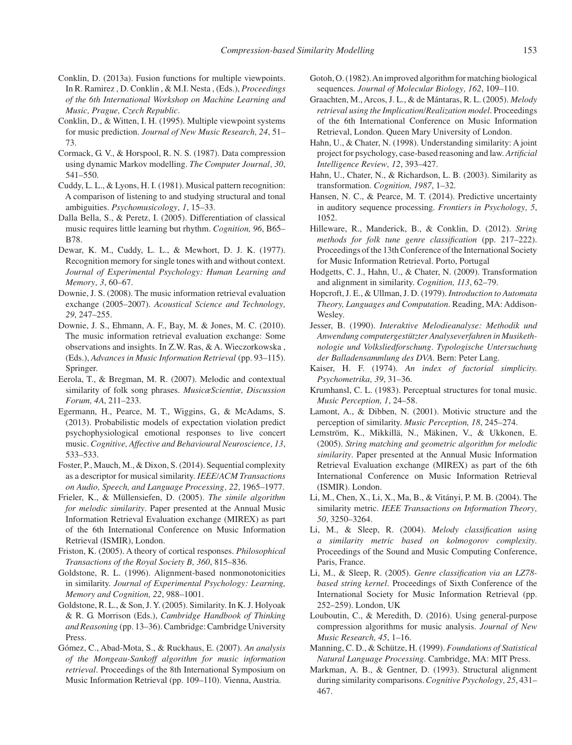- <span id="page-19-28"></span>Conklin, D. (2013a). Fusion functions for multiple viewpoints. In R. Ramirez , D. Conklin , & M.I. Nesta , (Eds.), *Proceedings of the 6th International Workshop on Machine Learning and Music, Prague, Czech Republic*.
- <span id="page-19-18"></span>Conklin, D., & Witten, I. H. (1995). Multiple viewpoint systems for music prediction. *Journal of New Music Research, 24*, 51– 73.
- <span id="page-19-29"></span>Cormack, G. V., & Horspool, R. N. S. (1987). Data compression using dynamic Markov modelling. *The Computer Journal, 30*, 541–550.
- <span id="page-19-23"></span>Cuddy, L. L., & Lyons, H. I. (1981). Musical pattern recognition: A comparison of listening to and studying structural and tonal ambiguities. *Psychomusicology, 1*, 15–33.
- <span id="page-19-33"></span>Dalla Bella, S., & Peretz, I. (2005). Differentiation of classical music requires little learning but rhythm. *Cognition, 96*, B65– B78.
- <span id="page-19-22"></span>Dewar, K. M., Cuddy, L. L., & Mewhort, D. J. K. (1977). Recognition memory for single tones with and without context. *Journal of Experimental Psychology: Human Learning and Memory, 3*, 60–67.
- <span id="page-19-24"></span>Downie, J. S. (2008). The music information retrieval evaluation exchange (2005–2007). *Acoustical Science and Technology, 29*, 247–255.
- <span id="page-19-25"></span>Downie, J. S., Ehmann, A. F., Bay, M. & Jones, M. C. (2010). The music information retrieval evaluation exchange: Some observations and insights. In Z.W. Ras, & A. Wieczorkowska , (Eds.), *Advances in Music Information Retrieval* (pp. 93–115). Springer.
- <span id="page-19-11"></span>Eerola, T., & Bregman, M. R. (2007). Melodic and contextual similarity of folk song phrases. *MusicæScientiæ, Discussion Forum, 4A*, 211–233.
- <span id="page-19-19"></span>Egermann, H., Pearce, M. T., Wiggins, G., & McAdams, S. (2013). Probabilistic models of expectation violation predict psychophysiological emotional responses to live concert music. *Cognitive, Affective and Behavioural Neuroscience, 13*, 533–533.
- <span id="page-19-3"></span>Foster, P., Mauch, M., & Dixon, S. (2014). Sequential complexity as a descriptor for musical similarity. *IEEE/ACM Transactions on Audio, Speech, and Language Processing, 22*, 1965–1977.
- <span id="page-19-27"></span>Frieler, K., & Müllensiefen, D. (2005). *The simile algorithm for melodic similarity*. Paper presented at the Annual Music Information Retrieval Evaluation exchange (MIREX) as part of the 6th International Conference on Music Information Retrieval (ISMIR), London.
- <span id="page-19-31"></span>Friston, K. (2005). A theory of cortical responses. *Philosophical Transactions of the Royal Society B, 360*, 815–836.
- <span id="page-19-6"></span>Goldstone, R. L. (1996). Alignment-based nonmonotonicities in similarity. *Journal of Experimental Psychology: Learning, Memory and Cognition, 22*, 988–1001.
- <span id="page-19-4"></span>Goldstone, R. L., & Son, J. Y. (2005). Similarity. In K. J. Holyoak & R. G. Morrison (Eds.), *Cambridge Handbook of Thinking and Reasoning* (pp. 13–36). Cambridge: Cambridge University Press.
- <span id="page-19-14"></span>Gómez, C., Abad-Mota, S., & Ruckhaus, E. (2007). *An analysis of the Mongeau-Sankoff algorithm for music information retrieval*. Proceedings of the 8th International Symposium on Music Information Retrieval (pp. 109–110). Vienna, Austria.
- <span id="page-19-15"></span>Gotoh, O. (1982).An improved algorithm for matching biological sequences. *Journal of Molecular Biology, 162*, 109–110.
- <span id="page-19-10"></span>Graachten, M., Arcos, J. L., & de Mántaras, R. L. (2005). *Melody retrieval using the Implication/Realization model*. Proceedings of the 6th International Conference on Music Information Retrieval, London. Queen Mary University of London.
- <span id="page-19-7"></span>Hahn, U., & Chater, N. (1998). Understanding similarity: A joint project for psychology, case-based reasoning and law.*Artificial Intelligence Review, 12*, 393–427.
- <span id="page-19-8"></span>Hahn, U., Chater, N., & Richardson, L. B. (2003). Similarity as transformation. *Cognition, 1987*, 1–32.
- <span id="page-19-20"></span>Hansen, N. C., & Pearce, M. T. (2014). Predictive uncertainty in auditory sequence processing. *Frontiers in Psychology, 5*, 1052.
- <span id="page-19-0"></span>Hilleware, R., Manderick, B., & Conklin, D. (2012). *String methods for folk tune genre classification* (pp. 217–222). Proceedings of the 13th Conference of the International Society for Music Information Retrieval. Porto, Portugal
- <span id="page-19-9"></span>Hodgetts, C. J., Hahn, U., & Chater, N. (2009). Transformation and alignment in similarity. *Cognition, 113*, 62–79.
- <span id="page-19-30"></span>Hopcroft, J. E., & Ullman, J. D. (1979). *Introduction to Automata Theory, Languages and Computation*. Reading, MA: Addison-Wesley.
- <span id="page-19-12"></span>Jesser, B. (1990). *Interaktive Melodieanalyse: Methodik und Anwendung computergestützter Analyseverfahren in Musikethnologie und Volksliedforschung. Typologische Untersuchung der Balladensammlung des DVA*. Bern: Peter Lang.
- <span id="page-19-21"></span>Kaiser, H. F. (1974). *An index of factorial simplicity. Psychometrika, 39*, 31–36.
- <span id="page-19-32"></span>Krumhansl, C. L. (1983). Perceptual structures for tonal music. *Music Perception, 1*, 24–58.
- <span id="page-19-34"></span>Lamont, A., & Dibben, N. (2001). Motivic structure and the perception of similarity. *Music Perception, 18*, 245–274.
- <span id="page-19-26"></span>Lemström, K., Mikkillä, N., Mäkinen, V., & Ukkonen, E. (2005). *String matching and geometric algorithm for melodic similarity*. Paper presented at the Annual Music Information Retrieval Evaluation exchange (MIREX) as part of the 6th International Conference on Music Information Retrieval (ISMIR). London.
- <span id="page-19-16"></span>Li, M., Chen, X., Li, X., Ma, B., & Vitányi, P. M. B. (2004). The similarity metric. *IEEE Transactions on Information Theory, 50*, 3250–3264.
- <span id="page-19-1"></span>Li, M., & Sleep, R. (2004). *Melody classification using a similarity metric based on kolmogorov complexity*. Proceedings of the Sound and Music Computing Conference, Paris, France.
- <span id="page-19-2"></span>Li, M., & Sleep, R. (2005). *Genre classification via an LZ78 based string kernel*. Proceedings of Sixth Conference of the International Society for Music Information Retrieval (pp. 252–259). London, UK
- <span id="page-19-17"></span>Louboutin, C., & Meredith, D. (2016). Using general-purpose compression algorithms for music analysis. *Journal of New Music Research, 45*, 1–16.
- <span id="page-19-13"></span>Manning, C. D., & Schütze, H. (1999). *Foundations of Statistical Natural Language Processing*. Cambridge, MA: MIT Press.
- <span id="page-19-5"></span>Markman, A. B., & Gentner, D. (1993). Structural alignment during similarity comparisons.*Cognitive Psychology, 25*, 431– 467.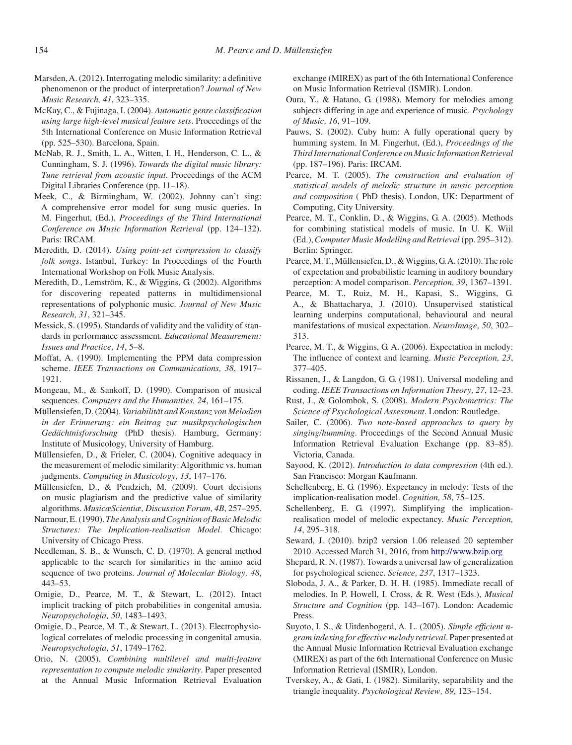- <span id="page-20-34"></span>Marsden, A. (2012). Interrogating melodic similarity: a definitive phenomenon or the product of interpretation? *Journal of New Music Research, 41*, 323–335.
- <span id="page-20-8"></span>McKay, C., & Fujinaga, I. (2004). *Automatic genre classification using large high-level musical feature sets*. Proceedings of the 5th International Conference on Music Information Retrieval (pp. 525–530). Barcelona, Spain.
- <span id="page-20-28"></span>McNab, R. J., Smith, L. A., Witten, I. H., Henderson, C. L., & Cunningham, S. J. (1996). *Towards the digital music library: Tune retrieval from acoustic input*. Proceedings of the ACM Digital Libraries Conference (pp. 11–18).
- <span id="page-20-29"></span>Meek, C., & Birmingham, W. (2002). Johnny can't sing: A comprehensive error model for sung music queries. In M. Fingerhut, (Ed.), *Proceedings of the Third International Conference on Music Information Retrieval* (pp. 124–132). Paris: IRCAM.
- <span id="page-20-0"></span>Meredith, D. (2014). *Using point-set compression to classify folk songs*. Istanbul, Turkey: In Proceedings of the Fourth International Workshop on Folk Music Analysis.
- <span id="page-20-9"></span>Meredith, D., Lemström, K., & Wiggins, G. (2002). Algorithms for discovering repeated patterns in multidimensional representations of polyphonic music. *Journal of New Music Research, 31*, 321–345.
- <span id="page-20-24"></span>Messick, S. (1995). Standards of validity and the validity of standards in performance assessment. *Educational Measurement: Issues and Practice, 14*, 5–8.
- <span id="page-20-23"></span>Moffat, A. (1990). Implementing the PPM data compression scheme. *IEEE Transactions on Communications, 38*, 1917– 1921.
- <span id="page-20-6"></span>Mongeau, M., & Sankoff, D. (1990). Comparison of musical sequences. *Computers and the Humanities, 24*, 161–175.
- <span id="page-20-2"></span>Müllensiefen, D. (2004). *Variabilität and Konstanz von Melodien in der Erinnerung: ein Beitrag zur musikpsychologischen Gedächtnisforschung* (PhD thesis). Hamburg, Germany: Institute of Musicology, University of Hamburg.
- <span id="page-20-1"></span>Müllensiefen, D., & Frieler, C. (2004). Cognitive adequacy in the measurement of melodic similarity: Algorithmic vs. human judgments. *Computing in Musicology, 13*, 147–176.
- <span id="page-20-4"></span>Müllensiefen, D., & Pendzich, M. (2009). Court decisions on music plagiarism and the predictive value of similarity algorithms. *MusicæScientiæ, Discussion Forum, 4B*, 257–295.
- <span id="page-20-18"></span>Narmour, E. (1990). *The Analysis and Cognition of Basic Melodic Structures: The Implication-realisation Model*. Chicago: University of Chicago Press.
- <span id="page-20-5"></span>Needleman, S. B., & Wunsch, C. D. (1970). A general method applicable to the search for similarities in the amino acid sequence of two proteins. *Journal of Molecular Biology, 48*, 443–53.
- <span id="page-20-16"></span>Omigie, D., Pearce, M. T., & Stewart, L. (2012). Intact implicit tracking of pitch probabilities in congenital amusia. *Neuropsychologia, 50*, 1483–1493.
- <span id="page-20-17"></span>Omigie, D., Pearce, M. T., & Stewart, L. (2013). Electrophysiological correlates of melodic processing in congenital amusia. *Neuropsychologia, 51*, 1749–1762.
- <span id="page-20-32"></span>Orio, N. (2005). *Combining multilevel and multi-feature representation to compute melodic similarity*. Paper presented at the Annual Music Information Retrieval Evaluation

exchange (MIREX) as part of the 6th International Conference on Music Information Retrieval (ISMIR). London.

- <span id="page-20-27"></span>Oura, Y., & Hatano, G. (1988). Memory for melodies among subjects differing in age and experience of music. *Psychology of Music, 16*, 91–109.
- <span id="page-20-30"></span>Pauws, S. (2002). Cuby hum: A fully operational query by humming system. In M. Fingerhut, (Ed.), *Proceedings of the Third International Conference on Music Information Retrieval* (pp. 187–196). Paris: IRCAM.
- <span id="page-20-13"></span>Pearce, M. T. (2005). *The construction and evaluation of statistical models of melodic structure in music perception and composition* ( PhD thesis). London, UK: Department of Computing, City University.
- <span id="page-20-14"></span>Pearce, M. T., Conklin, D., & Wiggins, G. A. (2005). Methods for combining statistical models of music. In U. K. Wiil (Ed.),*Computer Music Modelling and Retrieval* (pp. 295–312). Berlin: Springer.
- <span id="page-20-22"></span>Pearce, M. T., Müllensiefen, D., & Wiggins, G. A. (2010). The role of expectation and probabilistic learning in auditory boundary perception: A model comparison. *Perception, 39*, 1367–1391.
- <span id="page-20-15"></span>Pearce, M. T., Ruiz, M. H., Kapasi, S., Wiggins, G. A., & Bhattacharya, J. (2010). Unsupervised statistical learning underpins computational, behavioural and neural manifestations of musical expectation. *NeuroImage, 50*, 302– 313.
- <span id="page-20-21"></span>Pearce, M. T., & Wiggins, G. A. (2006). Expectation in melody: The influence of context and learning. *Music Perception, 23*, 377–405.
- <span id="page-20-10"></span>Rissanen, J., & Langdon, G. G. (1981). Universal modeling and coding. *IEEE Transactions on Information Theory, 27*, 12–23.
- <span id="page-20-25"></span>Rust, J., & Golombok, S. (2008). *Modern Psychometrics: The Science of Psychological Assessment*. London: Routledge.
- <span id="page-20-31"></span>Sailer, C. (2006). *Two note-based approaches to query by singing/humming*. Proceedings of the Second Annual Music Information Retrieval Evaluation Exchange (pp. 83–85). Victoria, Canada.
- <span id="page-20-11"></span>Sayood, K. (2012). *Introduction to data compression* (4th ed.). San Francisco: Morgan Kaufmann.
- <span id="page-20-19"></span>Schellenberg, E. G. (1996). Expectancy in melody: Tests of the implication-realisation model. *Cognition, 58*, 75–125.
- <span id="page-20-20"></span>Schellenberg, E. G. (1997). Simplifying the implicationrealisation model of melodic expectancy. *Music Perception, 14*, 295–318.
- <span id="page-20-7"></span>Seward, J. (2010). bzip2 version 1.06 released 20 september 2010. Accessed March 31, 2016, from <http://www.bzip.org>
- <span id="page-20-3"></span>Shepard, R. N. (1987). Towards a universal law of generalization for psychological science. *Science, 237*, 1317–1323.
- <span id="page-20-26"></span>Sloboda, J. A., & Parker, D. H. H. (1985). Immediate recall of melodies. In P. Howell, I. Cross, & R. West (Eds.), *Musical Structure and Cognition* (pp. 143–167). London: Academic Press.
- <span id="page-20-33"></span>Suyoto, I. S., & Uitdenbogerd, A. L. (2005). *Simple efficient ngram indexing for effective melody retrieval*. Paper presented at the Annual Music Information Retrieval Evaluation exchange (MIREX) as part of the 6th International Conference on Music Information Retrieval (ISMIR), London.
- <span id="page-20-12"></span>Tverskey, A., & Gati, I. (1982). Similarity, separability and the triangle inequality. *Psychological Review, 89*, 123–154.